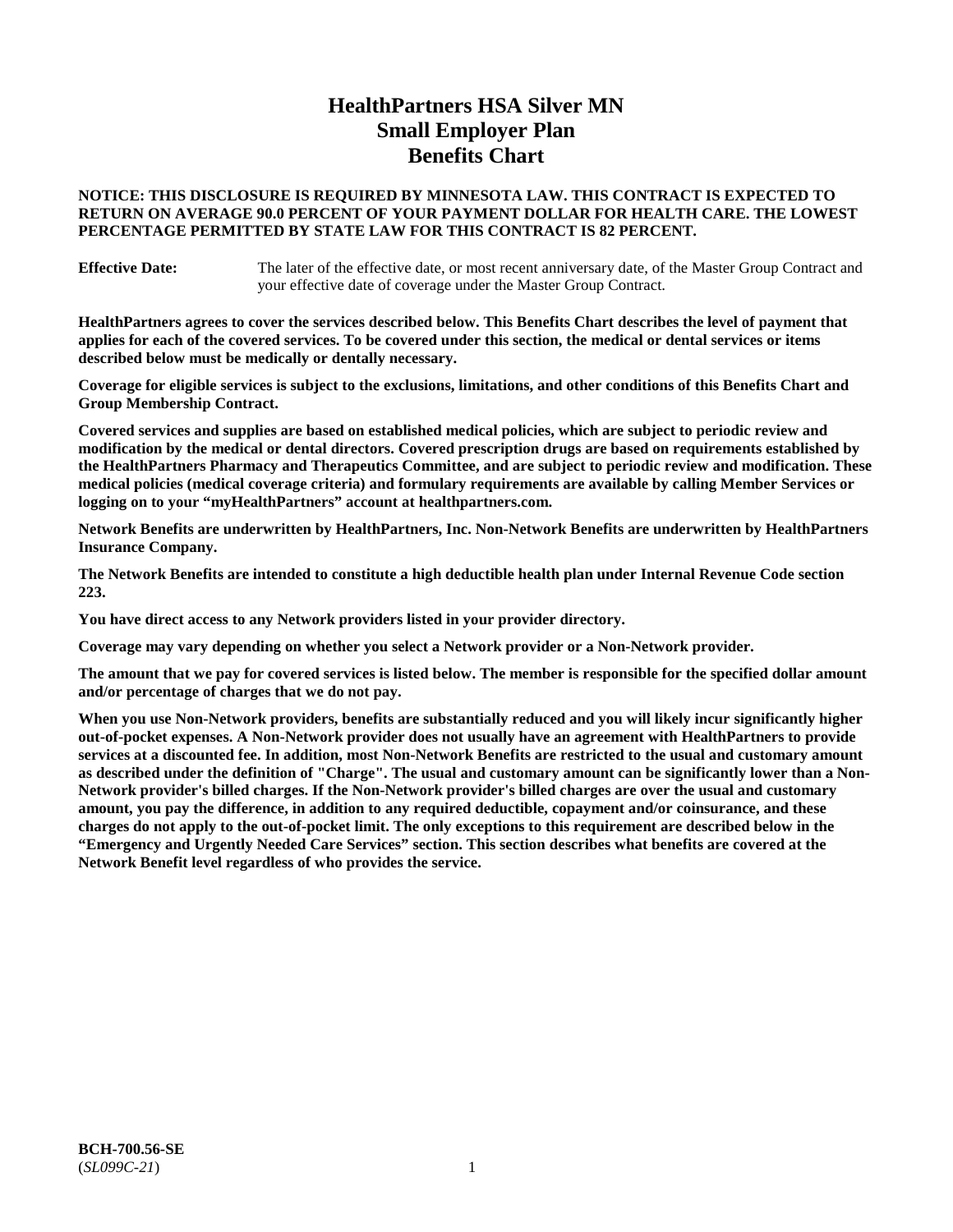# **HealthPartners HSA Silver MN Small Employer Plan Benefits Chart**

## **NOTICE: THIS DISCLOSURE IS REQUIRED BY MINNESOTA LAW. THIS CONTRACT IS EXPECTED TO RETURN ON AVERAGE 90.0 PERCENT OF YOUR PAYMENT DOLLAR FOR HEALTH CARE. THE LOWEST PERCENTAGE PERMITTED BY STATE LAW FOR THIS CONTRACT IS 82 PERCENT.**

**Effective Date:** The later of the effective date, or most recent anniversary date, of the Master Group Contract and your effective date of coverage under the Master Group Contract.

**HealthPartners agrees to cover the services described below. This Benefits Chart describes the level of payment that applies for each of the covered services. To be covered under this section, the medical or dental services or items described below must be medically or dentally necessary.**

**Coverage for eligible services is subject to the exclusions, limitations, and other conditions of this Benefits Chart and Group Membership Contract.**

**Covered services and supplies are based on established medical policies, which are subject to periodic review and modification by the medical or dental directors. Covered prescription drugs are based on requirements established by the HealthPartners Pharmacy and Therapeutics Committee, and are subject to periodic review and modification. These medical policies (medical coverage criteria) and formulary requirements are available by calling Member Services or logging on to your "myHealthPartners" account at [healthpartners.com.](https://www.healthpartners.com/hp/index.html)**

**Network Benefits are underwritten by HealthPartners, Inc. Non-Network Benefits are underwritten by HealthPartners Insurance Company.** 

**The Network Benefits are intended to constitute a high deductible health plan under Internal Revenue Code section 223.** 

**You have direct access to any Network providers listed in your provider directory.**

**Coverage may vary depending on whether you select a Network provider or a Non-Network provider.**

**The amount that we pay for covered services is listed below. The member is responsible for the specified dollar amount and/or percentage of charges that we do not pay.**

**When you use Non-Network providers, benefits are substantially reduced and you will likely incur significantly higher out-of-pocket expenses. A Non-Network provider does not usually have an agreement with HealthPartners to provide services at a discounted fee. In addition, most Non-Network Benefits are restricted to the usual and customary amount as described under the definition of "Charge". The usual and customary amount can be significantly lower than a Non-Network provider's billed charges. If the Non-Network provider's billed charges are over the usual and customary amount, you pay the difference, in addition to any required deductible, copayment and/or coinsurance, and these charges do not apply to the out-of-pocket limit. The only exceptions to this requirement are described below in the "Emergency and Urgently Needed Care Services" section. This section describes what benefits are covered at the Network Benefit level regardless of who provides the service.**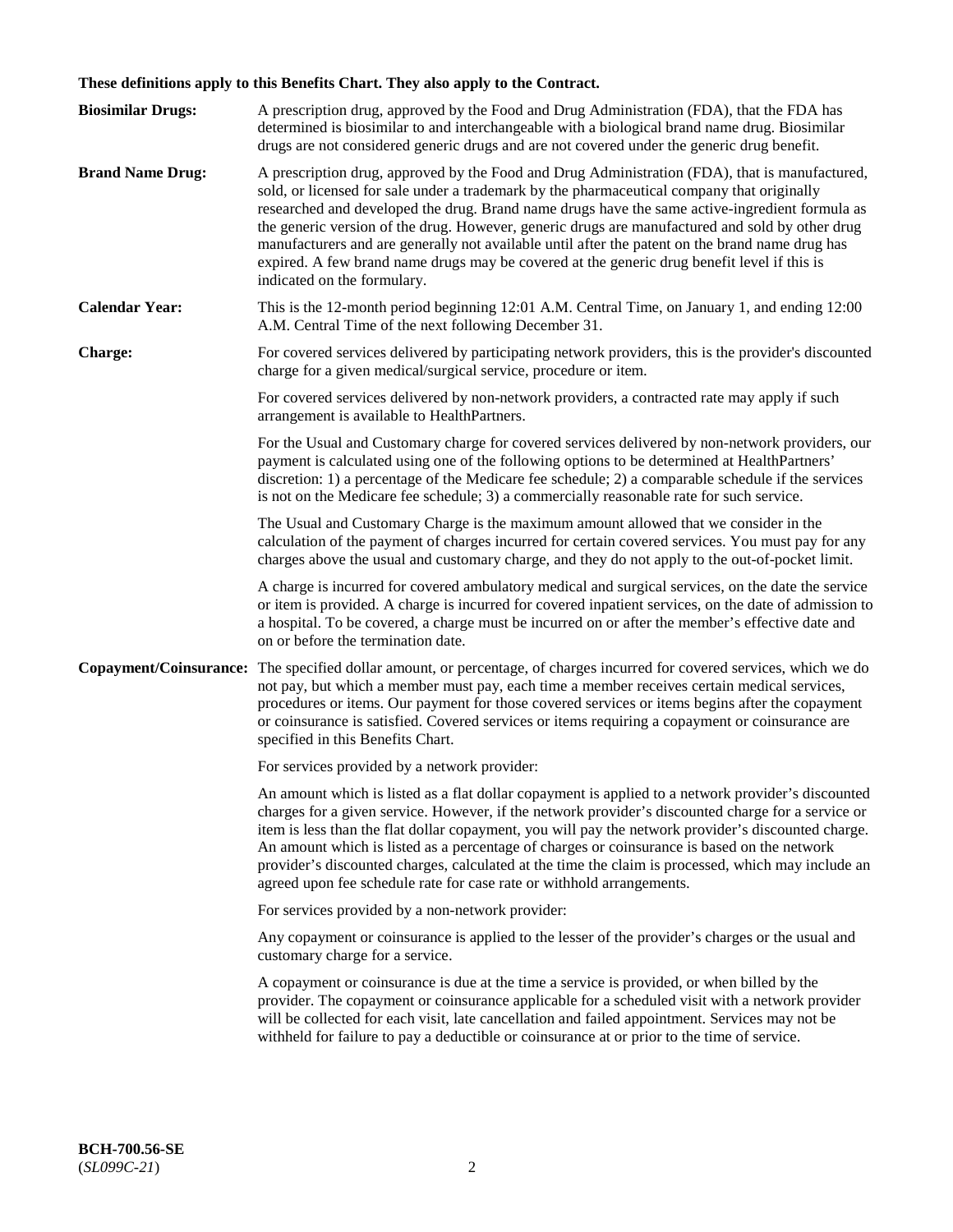# **These definitions apply to this Benefits Chart. They also apply to the Contract.**

| <b>Biosimilar Drugs:</b> | A prescription drug, approved by the Food and Drug Administration (FDA), that the FDA has<br>determined is biosimilar to and interchangeable with a biological brand name drug. Biosimilar<br>drugs are not considered generic drugs and are not covered under the generic drug benefit.                                                                                                                                                                                                                                                                                                                                           |
|--------------------------|------------------------------------------------------------------------------------------------------------------------------------------------------------------------------------------------------------------------------------------------------------------------------------------------------------------------------------------------------------------------------------------------------------------------------------------------------------------------------------------------------------------------------------------------------------------------------------------------------------------------------------|
| <b>Brand Name Drug:</b>  | A prescription drug, approved by the Food and Drug Administration (FDA), that is manufactured,<br>sold, or licensed for sale under a trademark by the pharmaceutical company that originally<br>researched and developed the drug. Brand name drugs have the same active-ingredient formula as<br>the generic version of the drug. However, generic drugs are manufactured and sold by other drug<br>manufacturers and are generally not available until after the patent on the brand name drug has<br>expired. A few brand name drugs may be covered at the generic drug benefit level if this is<br>indicated on the formulary. |
| <b>Calendar Year:</b>    | This is the 12-month period beginning 12:01 A.M. Central Time, on January 1, and ending 12:00<br>A.M. Central Time of the next following December 31.                                                                                                                                                                                                                                                                                                                                                                                                                                                                              |
| <b>Charge:</b>           | For covered services delivered by participating network providers, this is the provider's discounted<br>charge for a given medical/surgical service, procedure or item.                                                                                                                                                                                                                                                                                                                                                                                                                                                            |
|                          | For covered services delivered by non-network providers, a contracted rate may apply if such<br>arrangement is available to HealthPartners.                                                                                                                                                                                                                                                                                                                                                                                                                                                                                        |
|                          | For the Usual and Customary charge for covered services delivered by non-network providers, our<br>payment is calculated using one of the following options to be determined at HealthPartners'<br>discretion: 1) a percentage of the Medicare fee schedule; 2) a comparable schedule if the services<br>is not on the Medicare fee schedule; 3) a commercially reasonable rate for such service.                                                                                                                                                                                                                                  |
|                          | The Usual and Customary Charge is the maximum amount allowed that we consider in the<br>calculation of the payment of charges incurred for certain covered services. You must pay for any<br>charges above the usual and customary charge, and they do not apply to the out-of-pocket limit.                                                                                                                                                                                                                                                                                                                                       |
|                          | A charge is incurred for covered ambulatory medical and surgical services, on the date the service<br>or item is provided. A charge is incurred for covered inpatient services, on the date of admission to<br>a hospital. To be covered, a charge must be incurred on or after the member's effective date and<br>on or before the termination date.                                                                                                                                                                                                                                                                              |
| Copayment/Coinsurance:   | The specified dollar amount, or percentage, of charges incurred for covered services, which we do<br>not pay, but which a member must pay, each time a member receives certain medical services,<br>procedures or items. Our payment for those covered services or items begins after the copayment<br>or coinsurance is satisfied. Covered services or items requiring a copayment or coinsurance are<br>specified in this Benefits Chart.                                                                                                                                                                                        |
|                          | For services provided by a network provider:                                                                                                                                                                                                                                                                                                                                                                                                                                                                                                                                                                                       |
|                          | An amount which is listed as a flat dollar copayment is applied to a network provider's discounted<br>charges for a given service. However, if the network provider's discounted charge for a service or<br>item is less than the flat dollar copayment, you will pay the network provider's discounted charge.<br>An amount which is listed as a percentage of charges or coinsurance is based on the network<br>provider's discounted charges, calculated at the time the claim is processed, which may include an<br>agreed upon fee schedule rate for case rate or withhold arrangements.                                      |
|                          | For services provided by a non-network provider:                                                                                                                                                                                                                                                                                                                                                                                                                                                                                                                                                                                   |
|                          | Any copayment or coinsurance is applied to the lesser of the provider's charges or the usual and<br>customary charge for a service.                                                                                                                                                                                                                                                                                                                                                                                                                                                                                                |
|                          | A copayment or coinsurance is due at the time a service is provided, or when billed by the<br>provider. The copayment or coinsurance applicable for a scheduled visit with a network provider<br>will be collected for each visit, late cancellation and failed appointment. Services may not be<br>withheld for failure to pay a deductible or coinsurance at or prior to the time of service.                                                                                                                                                                                                                                    |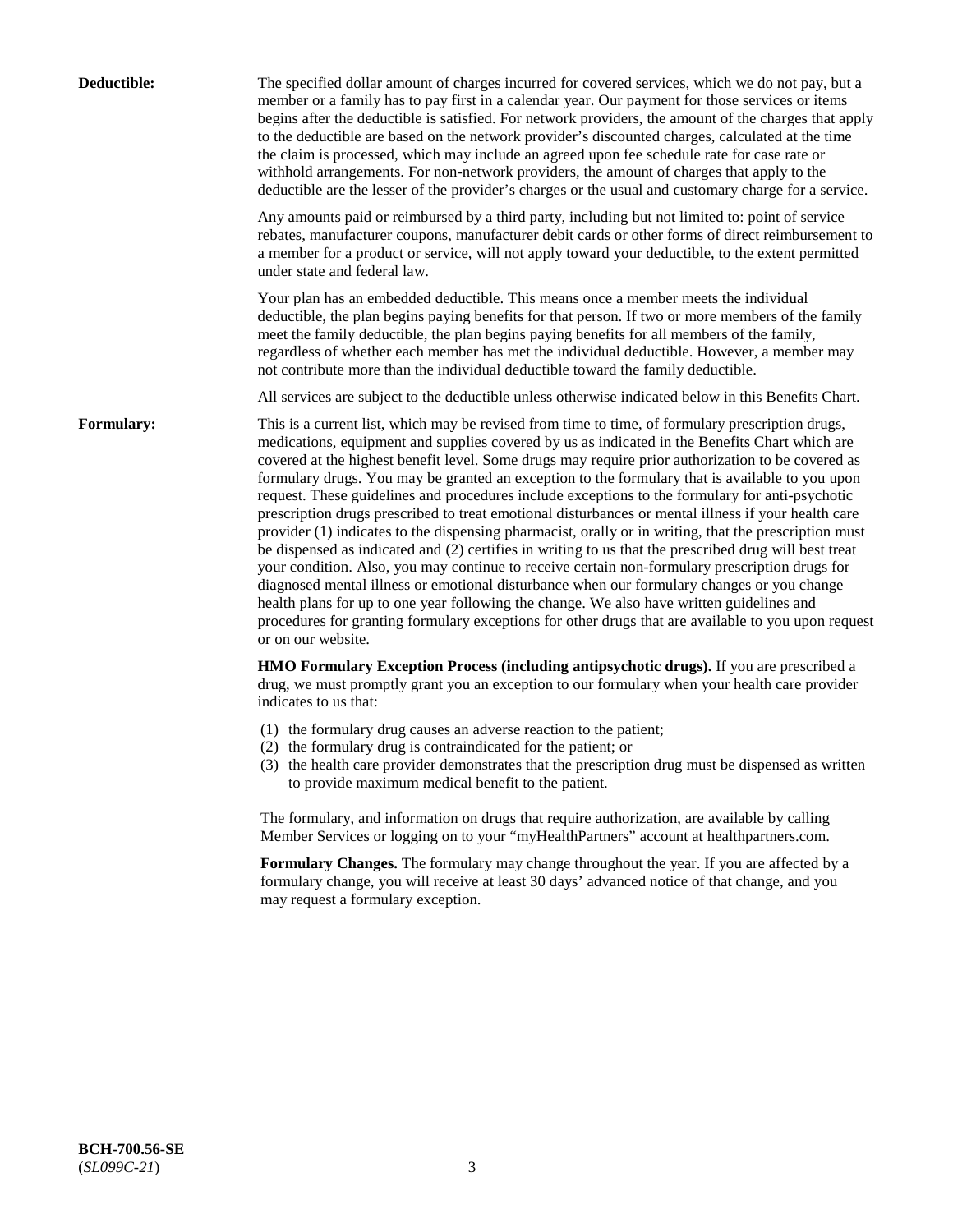| Deductible:       | The specified dollar amount of charges incurred for covered services, which we do not pay, but a<br>member or a family has to pay first in a calendar year. Our payment for those services or items<br>begins after the deductible is satisfied. For network providers, the amount of the charges that apply<br>to the deductible are based on the network provider's discounted charges, calculated at the time<br>the claim is processed, which may include an agreed upon fee schedule rate for case rate or<br>withhold arrangements. For non-network providers, the amount of charges that apply to the<br>deductible are the lesser of the provider's charges or the usual and customary charge for a service.                                                                                                                                                                                                                                                                                                                                                                                                                                                                                                                                             |
|-------------------|------------------------------------------------------------------------------------------------------------------------------------------------------------------------------------------------------------------------------------------------------------------------------------------------------------------------------------------------------------------------------------------------------------------------------------------------------------------------------------------------------------------------------------------------------------------------------------------------------------------------------------------------------------------------------------------------------------------------------------------------------------------------------------------------------------------------------------------------------------------------------------------------------------------------------------------------------------------------------------------------------------------------------------------------------------------------------------------------------------------------------------------------------------------------------------------------------------------------------------------------------------------|
|                   | Any amounts paid or reimbursed by a third party, including but not limited to: point of service<br>rebates, manufacturer coupons, manufacturer debit cards or other forms of direct reimbursement to<br>a member for a product or service, will not apply toward your deductible, to the extent permitted<br>under state and federal law.                                                                                                                                                                                                                                                                                                                                                                                                                                                                                                                                                                                                                                                                                                                                                                                                                                                                                                                        |
|                   | Your plan has an embedded deductible. This means once a member meets the individual<br>deductible, the plan begins paying benefits for that person. If two or more members of the family<br>meet the family deductible, the plan begins paying benefits for all members of the family,<br>regardless of whether each member has met the individual deductible. However, a member may<br>not contribute more than the individual deductible toward the family deductible.                                                                                                                                                                                                                                                                                                                                                                                                                                                                                                                                                                                                                                                                                                                                                                                         |
|                   | All services are subject to the deductible unless otherwise indicated below in this Benefits Chart.                                                                                                                                                                                                                                                                                                                                                                                                                                                                                                                                                                                                                                                                                                                                                                                                                                                                                                                                                                                                                                                                                                                                                              |
| <b>Formulary:</b> | This is a current list, which may be revised from time to time, of formulary prescription drugs,<br>medications, equipment and supplies covered by us as indicated in the Benefits Chart which are<br>covered at the highest benefit level. Some drugs may require prior authorization to be covered as<br>formulary drugs. You may be granted an exception to the formulary that is available to you upon<br>request. These guidelines and procedures include exceptions to the formulary for anti-psychotic<br>prescription drugs prescribed to treat emotional disturbances or mental illness if your health care<br>provider (1) indicates to the dispensing pharmacist, orally or in writing, that the prescription must<br>be dispensed as indicated and (2) certifies in writing to us that the prescribed drug will best treat<br>your condition. Also, you may continue to receive certain non-formulary prescription drugs for<br>diagnosed mental illness or emotional disturbance when our formulary changes or you change<br>health plans for up to one year following the change. We also have written guidelines and<br>procedures for granting formulary exceptions for other drugs that are available to you upon request<br>or on our website. |
|                   | HMO Formulary Exception Process (including antipsychotic drugs). If you are prescribed a<br>drug, we must promptly grant you an exception to our formulary when your health care provider<br>indicates to us that:                                                                                                                                                                                                                                                                                                                                                                                                                                                                                                                                                                                                                                                                                                                                                                                                                                                                                                                                                                                                                                               |
|                   | (1) the formulary drug causes an adverse reaction to the patient;<br>(2) the formulary drug is contraindicated for the patient; or<br>(3) the health care provider demonstrates that the prescription drug must be dispensed as written<br>to provide maximum medical benefit to the patient.                                                                                                                                                                                                                                                                                                                                                                                                                                                                                                                                                                                                                                                                                                                                                                                                                                                                                                                                                                    |
|                   | The formulary, and information on drugs that require authorization, are available by calling<br>Member Services or logging on to your "myHealthPartners" account at healthpartners.com.                                                                                                                                                                                                                                                                                                                                                                                                                                                                                                                                                                                                                                                                                                                                                                                                                                                                                                                                                                                                                                                                          |
|                   | Formulary Changes. The formulary may change throughout the year. If you are affected by a<br>formulary change, you will receive at least 30 days' advanced notice of that change, and you<br>may request a formulary exception.                                                                                                                                                                                                                                                                                                                                                                                                                                                                                                                                                                                                                                                                                                                                                                                                                                                                                                                                                                                                                                  |
|                   |                                                                                                                                                                                                                                                                                                                                                                                                                                                                                                                                                                                                                                                                                                                                                                                                                                                                                                                                                                                                                                                                                                                                                                                                                                                                  |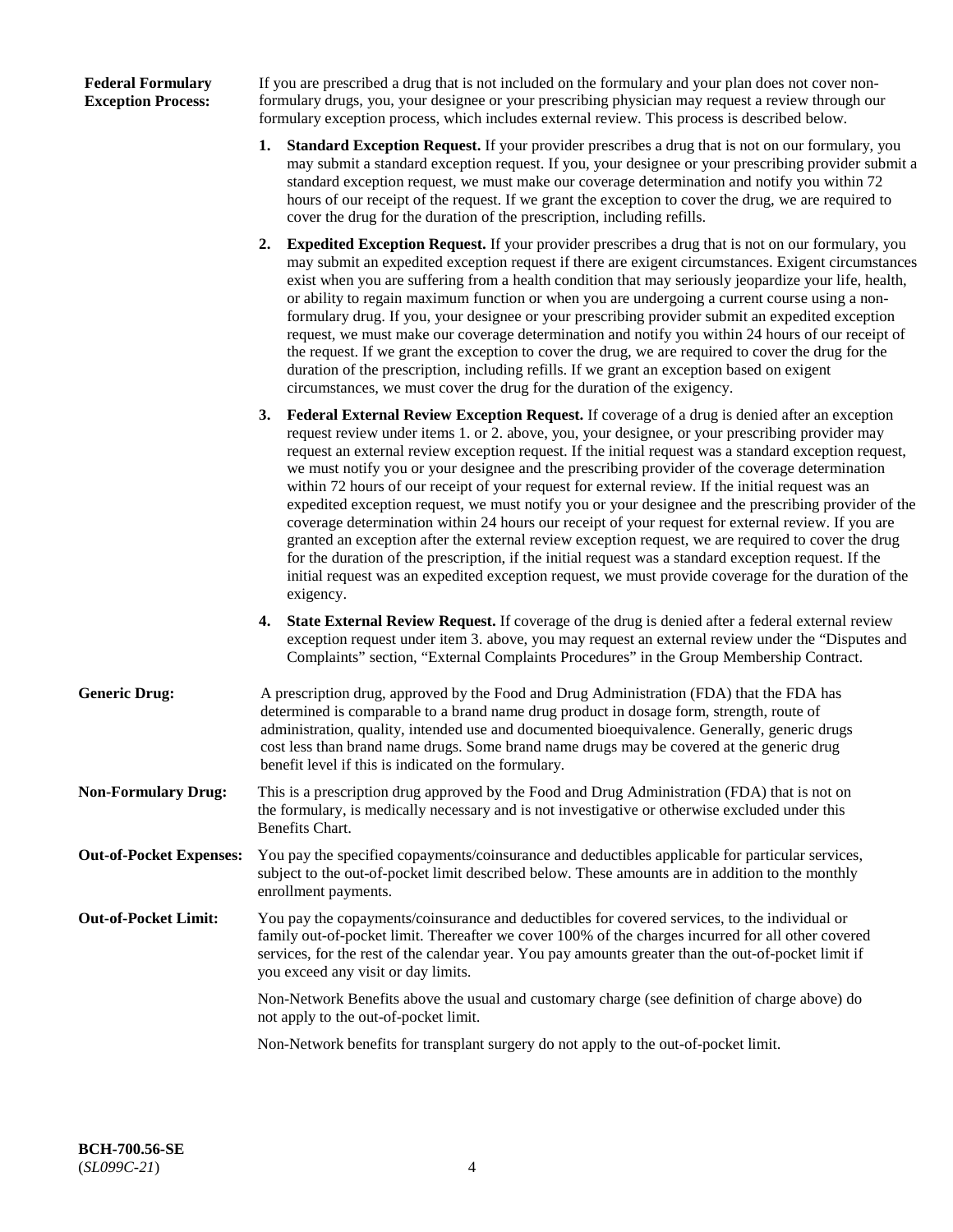## **Federal Formulary Exception Process:**

If you are prescribed a drug that is not included on the formulary and your plan does not cover nonformulary drugs, you, your designee or your prescribing physician may request a review through our formulary exception process, which includes external review. This process is described below.

- **1. Standard Exception Request.** If your provider prescribes a drug that is not on our formulary, you may submit a standard exception request. If you, your designee or your prescribing provider submit a standard exception request, we must make our coverage determination and notify you within 72 hours of our receipt of the request. If we grant the exception to cover the drug, we are required to cover the drug for the duration of the prescription, including refills.
- **2. Expedited Exception Request.** If your provider prescribes a drug that is not on our formulary, you may submit an expedited exception request if there are exigent circumstances. Exigent circumstances exist when you are suffering from a health condition that may seriously jeopardize your life, health, or ability to regain maximum function or when you are undergoing a current course using a nonformulary drug. If you, your designee or your prescribing provider submit an expedited exception request, we must make our coverage determination and notify you within 24 hours of our receipt of the request. If we grant the exception to cover the drug, we are required to cover the drug for the duration of the prescription, including refills. If we grant an exception based on exigent circumstances, we must cover the drug for the duration of the exigency.
- **3. Federal External Review Exception Request.** If coverage of a drug is denied after an exception request review under items 1. or 2. above, you, your designee, or your prescribing provider may request an external review exception request. If the initial request was a standard exception request, we must notify you or your designee and the prescribing provider of the coverage determination within 72 hours of our receipt of your request for external review. If the initial request was an expedited exception request, we must notify you or your designee and the prescribing provider of the coverage determination within 24 hours our receipt of your request for external review. If you are granted an exception after the external review exception request, we are required to cover the drug for the duration of the prescription, if the initial request was a standard exception request. If the initial request was an expedited exception request, we must provide coverage for the duration of the exigency.
- **4. State External Review Request.** If coverage of the drug is denied after a federal external review exception request under item 3. above, you may request an external review under the "Disputes and Complaints" section, "External Complaints Procedures" in the Group Membership Contract.
- **Generic Drug:** A prescription drug, approved by the Food and Drug Administration (FDA) that the FDA has determined is comparable to a brand name drug product in dosage form, strength, route of administration, quality, intended use and documented bioequivalence. Generally, generic drugs cost less than brand name drugs. Some brand name drugs may be covered at the generic drug benefit level if this is indicated on the formulary.
- **Non-Formulary Drug:** This is a prescription drug approved by the Food and Drug Administration (FDA) that is not on the formulary, is medically necessary and is not investigative or otherwise excluded under this Benefits Chart.
- **Out-of-Pocket Expenses:** You pay the specified copayments/coinsurance and deductibles applicable for particular services, subject to the out-of-pocket limit described below. These amounts are in addition to the monthly enrollment payments.
- **Out-of-Pocket Limit:** You pay the copayments/coinsurance and deductibles for covered services, to the individual or family out-of-pocket limit. Thereafter we cover 100% of the charges incurred for all other covered services, for the rest of the calendar year. You pay amounts greater than the out-of-pocket limit if you exceed any visit or day limits.

Non-Network Benefits above the usual and customary charge (see definition of charge above) do not apply to the out-of-pocket limit.

Non-Network benefits for transplant surgery do not apply to the out-of-pocket limit.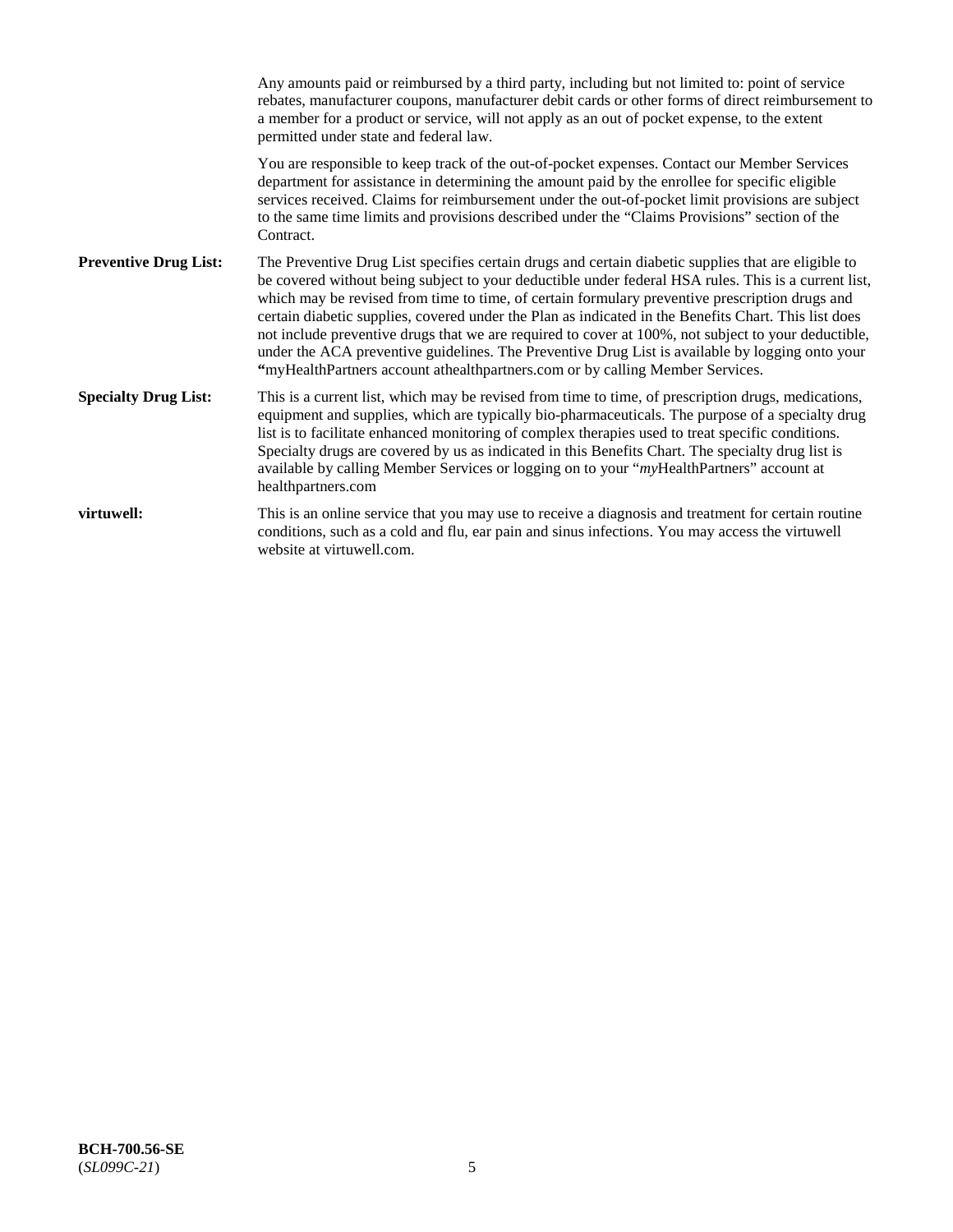|                              | Any amounts paid or reimbursed by a third party, including but not limited to: point of service<br>rebates, manufacturer coupons, manufacturer debit cards or other forms of direct reimbursement to<br>a member for a product or service, will not apply as an out of pocket expense, to the extent<br>permitted under state and federal law.                                                                                                                                                                                                                                                                                                                                                                   |
|------------------------------|------------------------------------------------------------------------------------------------------------------------------------------------------------------------------------------------------------------------------------------------------------------------------------------------------------------------------------------------------------------------------------------------------------------------------------------------------------------------------------------------------------------------------------------------------------------------------------------------------------------------------------------------------------------------------------------------------------------|
|                              | You are responsible to keep track of the out-of-pocket expenses. Contact our Member Services<br>department for assistance in determining the amount paid by the enrollee for specific eligible<br>services received. Claims for reimbursement under the out-of-pocket limit provisions are subject<br>to the same time limits and provisions described under the "Claims Provisions" section of the<br>Contract.                                                                                                                                                                                                                                                                                                 |
| <b>Preventive Drug List:</b> | The Preventive Drug List specifies certain drugs and certain diabetic supplies that are eligible to<br>be covered without being subject to your deductible under federal HSA rules. This is a current list,<br>which may be revised from time to time, of certain formulary preventive prescription drugs and<br>certain diabetic supplies, covered under the Plan as indicated in the Benefits Chart. This list does<br>not include preventive drugs that we are required to cover at 100%, not subject to your deductible,<br>under the ACA preventive guidelines. The Preventive Drug List is available by logging onto your<br>"myHealthPartners account athealthpartners.com or by calling Member Services. |
| <b>Specialty Drug List:</b>  | This is a current list, which may be revised from time to time, of prescription drugs, medications,<br>equipment and supplies, which are typically bio-pharmaceuticals. The purpose of a specialty drug<br>list is to facilitate enhanced monitoring of complex therapies used to treat specific conditions.<br>Specialty drugs are covered by us as indicated in this Benefits Chart. The specialty drug list is<br>available by calling Member Services or logging on to your "myHealthPartners" account at<br>healthpartners.com                                                                                                                                                                              |
| virtuwell:                   | This is an online service that you may use to receive a diagnosis and treatment for certain routine<br>conditions, such as a cold and flu, ear pain and sinus infections. You may access the virtuwell<br>website at virtuwell.com.                                                                                                                                                                                                                                                                                                                                                                                                                                                                              |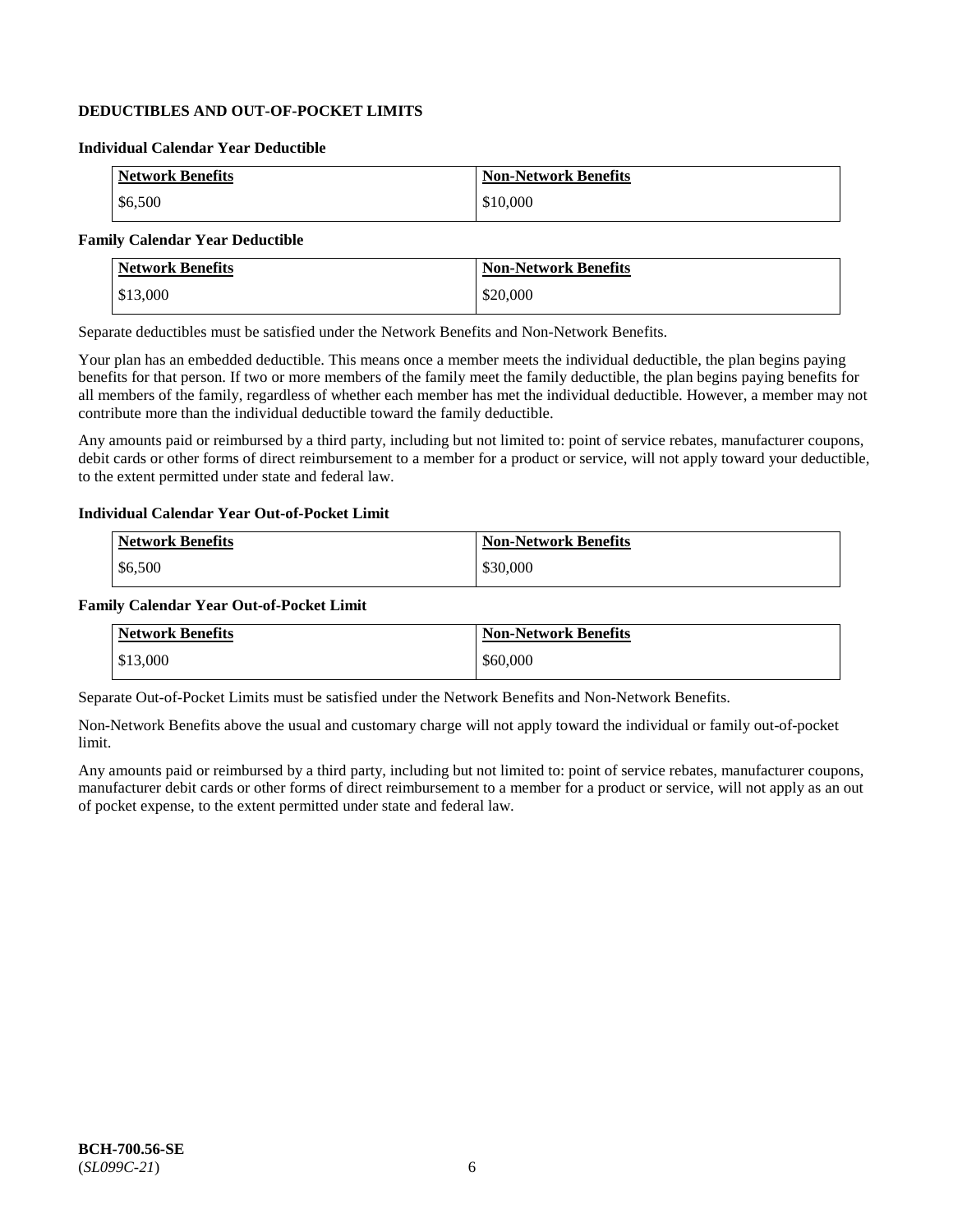## **DEDUCTIBLES AND OUT-OF-POCKET LIMITS**

#### **Individual Calendar Year Deductible**

| <b>Network Benefits</b> | <b>Non-Network Benefits</b> |
|-------------------------|-----------------------------|
| \$6,500                 | \$10,000                    |

## **Family Calendar Year Deductible**

| <b>Network Benefits</b> | <b>Non-Network Benefits</b> |
|-------------------------|-----------------------------|
| \$13,000                | \$20,000                    |

Separate deductibles must be satisfied under the Network Benefits and Non-Network Benefits.

Your plan has an embedded deductible. This means once a member meets the individual deductible, the plan begins paying benefits for that person. If two or more members of the family meet the family deductible, the plan begins paying benefits for all members of the family, regardless of whether each member has met the individual deductible. However, a member may not contribute more than the individual deductible toward the family deductible.

Any amounts paid or reimbursed by a third party, including but not limited to: point of service rebates, manufacturer coupons, debit cards or other forms of direct reimbursement to a member for a product or service, will not apply toward your deductible, to the extent permitted under state and federal law.

#### **Individual Calendar Year Out-of-Pocket Limit**

| <b>Network Benefits</b> | <b>Non-Network Benefits</b> |
|-------------------------|-----------------------------|
| \$6,500                 | \$30,000                    |

#### **Family Calendar Year Out-of-Pocket Limit**

| <b>Network Benefits</b> | <b>Non-Network Benefits</b> |
|-------------------------|-----------------------------|
| \$13,000                | \$60,000                    |

Separate Out-of-Pocket Limits must be satisfied under the Network Benefits and Non-Network Benefits.

Non-Network Benefits above the usual and customary charge will not apply toward the individual or family out-of-pocket limit.

Any amounts paid or reimbursed by a third party, including but not limited to: point of service rebates, manufacturer coupons, manufacturer debit cards or other forms of direct reimbursement to a member for a product or service, will not apply as an out of pocket expense, to the extent permitted under state and federal law.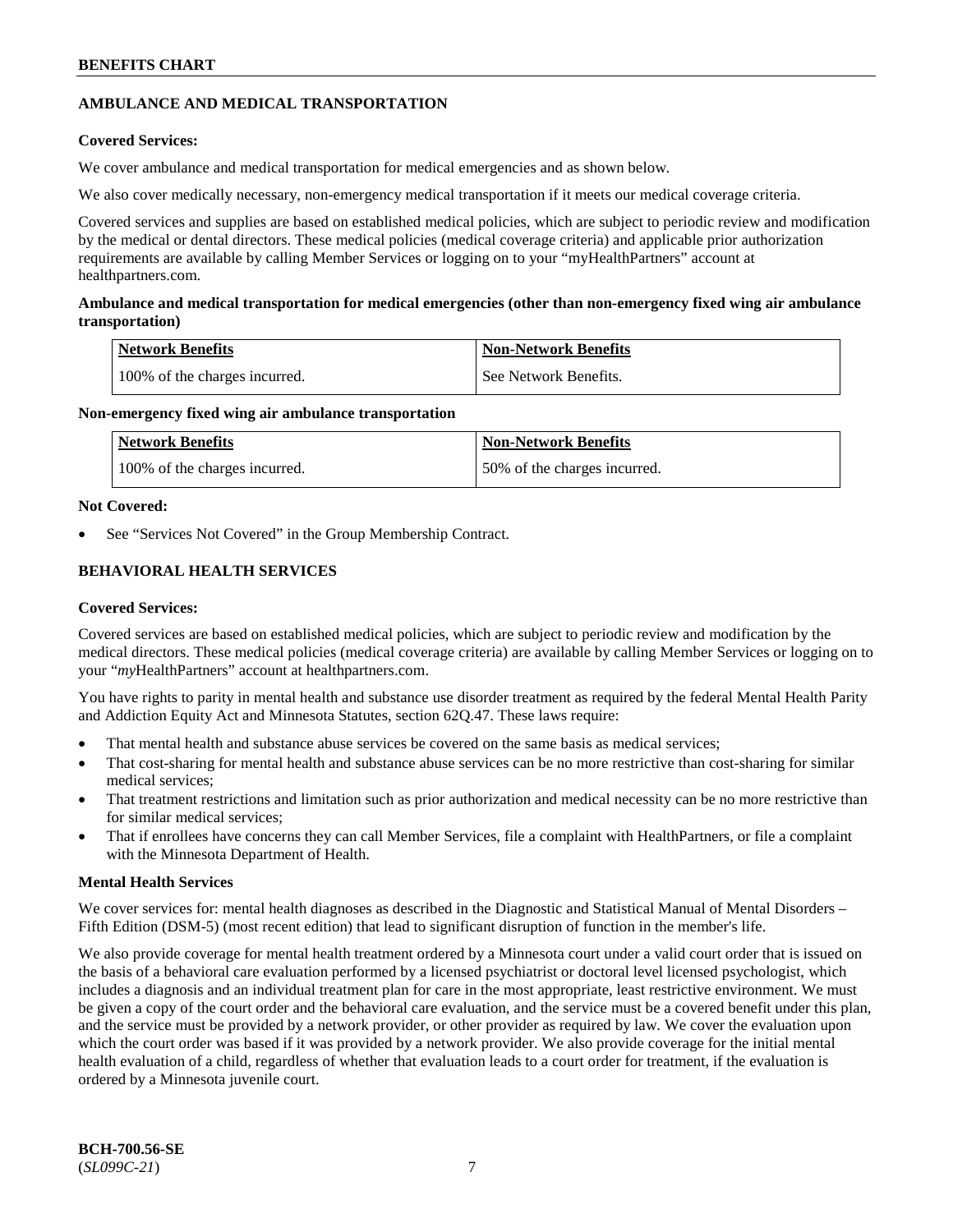## **AMBULANCE AND MEDICAL TRANSPORTATION**

## **Covered Services:**

We cover ambulance and medical transportation for medical emergencies and as shown below.

We also cover medically necessary, non-emergency medical transportation if it meets our medical coverage criteria.

Covered services and supplies are based on established medical policies, which are subject to periodic review and modification by the medical or dental directors. These medical policies (medical coverage criteria) and applicable prior authorization requirements are available by calling Member Services or logging on to your "myHealthPartners" account at [healthpartners.com.](https://www.healthpartners.com/hp/index.html)

## **Ambulance and medical transportation for medical emergencies (other than non-emergency fixed wing air ambulance transportation)**

| Network Benefits              | <b>Non-Network Benefits</b> |
|-------------------------------|-----------------------------|
| 100% of the charges incurred. | See Network Benefits.       |

## **Non-emergency fixed wing air ambulance transportation**

| Network Benefits              | <b>Non-Network Benefits</b>  |
|-------------------------------|------------------------------|
| 100% of the charges incurred. | 50% of the charges incurred. |

## **Not Covered:**

See "Services Not Covered" in the Group Membership Contract.

## **BEHAVIORAL HEALTH SERVICES**

## **Covered Services:**

Covered services are based on established medical policies, which are subject to periodic review and modification by the medical directors. These medical policies (medical coverage criteria) are available by calling Member Services or logging on to your "*my*HealthPartners" account at [healthpartners.com.](http://www.healthpartners.com/)

You have rights to parity in mental health and substance use disorder treatment as required by the federal Mental Health Parity and Addiction Equity Act and Minnesota Statutes, section 62Q.47. These laws require:

- That mental health and substance abuse services be covered on the same basis as medical services;
- That cost-sharing for mental health and substance abuse services can be no more restrictive than cost-sharing for similar medical services;
- That treatment restrictions and limitation such as prior authorization and medical necessity can be no more restrictive than for similar medical services;
- That if enrollees have concerns they can call Member Services, file a complaint with HealthPartners, or file a complaint with the Minnesota Department of Health.

## **Mental Health Services**

We cover services for: mental health diagnoses as described in the Diagnostic and Statistical Manual of Mental Disorders – Fifth Edition (DSM-5) (most recent edition) that lead to significant disruption of function in the member's life.

We also provide coverage for mental health treatment ordered by a Minnesota court under a valid court order that is issued on the basis of a behavioral care evaluation performed by a licensed psychiatrist or doctoral level licensed psychologist, which includes a diagnosis and an individual treatment plan for care in the most appropriate, least restrictive environment. We must be given a copy of the court order and the behavioral care evaluation, and the service must be a covered benefit under this plan, and the service must be provided by a network provider, or other provider as required by law. We cover the evaluation upon which the court order was based if it was provided by a network provider. We also provide coverage for the initial mental health evaluation of a child, regardless of whether that evaluation leads to a court order for treatment, if the evaluation is ordered by a Minnesota juvenile court.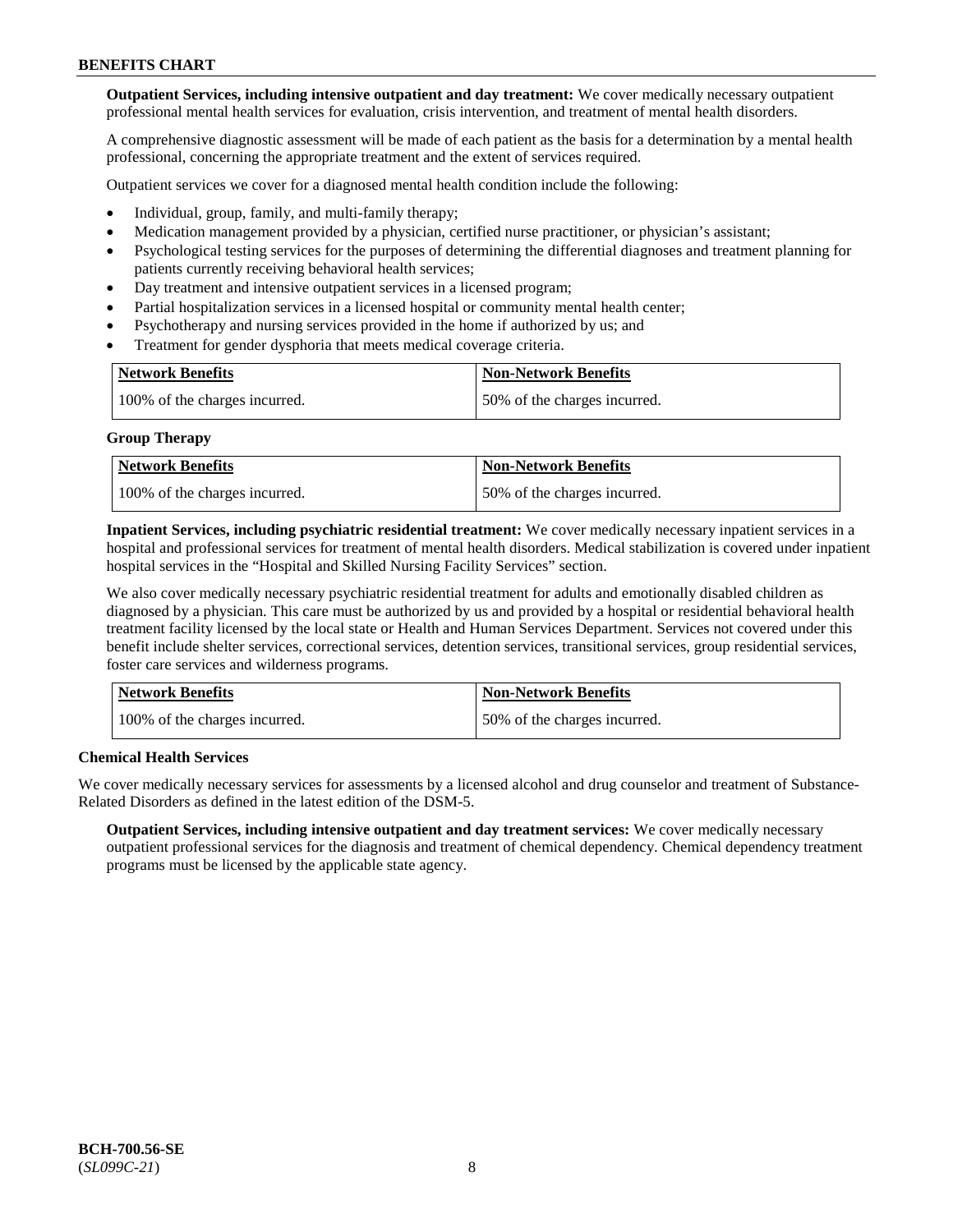**Outpatient Services, including intensive outpatient and day treatment:** We cover medically necessary outpatient professional mental health services for evaluation, crisis intervention, and treatment of mental health disorders.

A comprehensive diagnostic assessment will be made of each patient as the basis for a determination by a mental health professional, concerning the appropriate treatment and the extent of services required.

Outpatient services we cover for a diagnosed mental health condition include the following:

- Individual, group, family, and multi-family therapy;
- Medication management provided by a physician, certified nurse practitioner, or physician's assistant;
- Psychological testing services for the purposes of determining the differential diagnoses and treatment planning for patients currently receiving behavioral health services;
- Day treatment and intensive outpatient services in a licensed program;
- Partial hospitalization services in a licensed hospital or community mental health center;
- Psychotherapy and nursing services provided in the home if authorized by us; and
- Treatment for gender dysphoria that meets medical coverage criteria.

| <b>Network Benefits</b>       | <b>Non-Network Benefits</b>  |
|-------------------------------|------------------------------|
| 100% of the charges incurred. | 50% of the charges incurred. |

#### **Group Therapy**

| Network Benefits              | <b>Non-Network Benefits</b>  |
|-------------------------------|------------------------------|
| 100% of the charges incurred. | 50% of the charges incurred. |

**Inpatient Services, including psychiatric residential treatment:** We cover medically necessary inpatient services in a hospital and professional services for treatment of mental health disorders. Medical stabilization is covered under inpatient hospital services in the "Hospital and Skilled Nursing Facility Services" section.

We also cover medically necessary psychiatric residential treatment for adults and emotionally disabled children as diagnosed by a physician. This care must be authorized by us and provided by a hospital or residential behavioral health treatment facility licensed by the local state or Health and Human Services Department. Services not covered under this benefit include shelter services, correctional services, detention services, transitional services, group residential services, foster care services and wilderness programs.

| Network Benefits              | <b>Non-Network Benefits</b>  |
|-------------------------------|------------------------------|
| 100% of the charges incurred. | 50% of the charges incurred. |

## **Chemical Health Services**

We cover medically necessary services for assessments by a licensed alcohol and drug counselor and treatment of Substance-Related Disorders as defined in the latest edition of the DSM-5.

**Outpatient Services, including intensive outpatient and day treatment services:** We cover medically necessary outpatient professional services for the diagnosis and treatment of chemical dependency. Chemical dependency treatment programs must be licensed by the applicable state agency.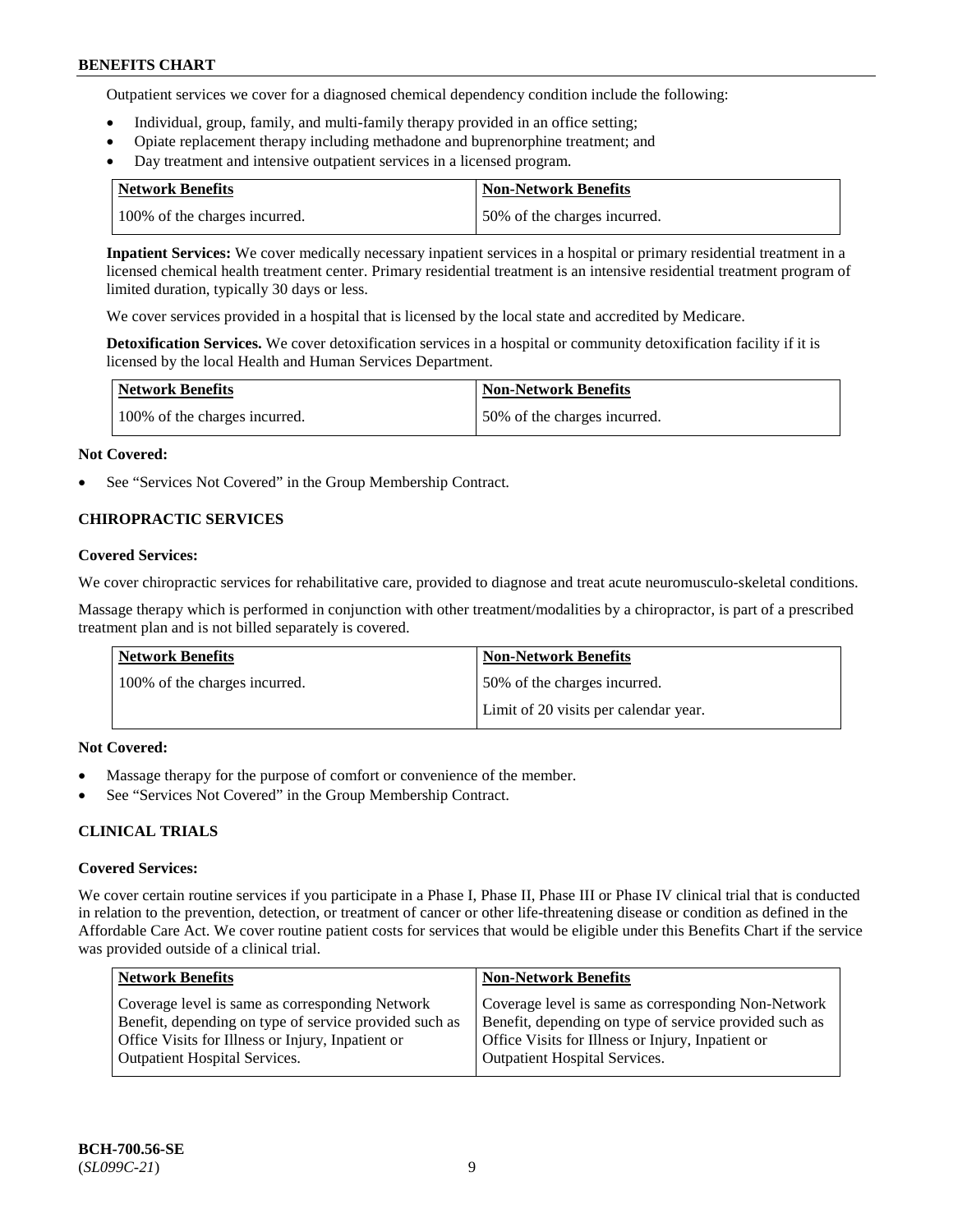Outpatient services we cover for a diagnosed chemical dependency condition include the following:

- Individual, group, family, and multi-family therapy provided in an office setting;
- Opiate replacement therapy including methadone and buprenorphine treatment; and
- Day treatment and intensive outpatient services in a licensed program.

| Network Benefits              | <b>Non-Network Benefits</b>  |
|-------------------------------|------------------------------|
| 100% of the charges incurred. | 50% of the charges incurred. |

**Inpatient Services:** We cover medically necessary inpatient services in a hospital or primary residential treatment in a licensed chemical health treatment center. Primary residential treatment is an intensive residential treatment program of limited duration, typically 30 days or less.

We cover services provided in a hospital that is licensed by the local state and accredited by Medicare.

**Detoxification Services.** We cover detoxification services in a hospital or community detoxification facility if it is licensed by the local Health and Human Services Department.

| <b>Network Benefits</b>       | <b>Non-Network Benefits</b>  |
|-------------------------------|------------------------------|
| 100% of the charges incurred. | 50% of the charges incurred. |

#### **Not Covered:**

See "Services Not Covered" in the Group Membership Contract.

## **CHIROPRACTIC SERVICES**

#### **Covered Services:**

We cover chiropractic services for rehabilitative care, provided to diagnose and treat acute neuromusculo-skeletal conditions.

Massage therapy which is performed in conjunction with other treatment/modalities by a chiropractor, is part of a prescribed treatment plan and is not billed separately is covered.

| Network Benefits              | <b>Non-Network Benefits</b>           |
|-------------------------------|---------------------------------------|
| 100% of the charges incurred. | 50% of the charges incurred.          |
|                               | Limit of 20 visits per calendar year. |

## **Not Covered:**

- Massage therapy for the purpose of comfort or convenience of the member.
- See "Services Not Covered" in the Group Membership Contract.

## **CLINICAL TRIALS**

#### **Covered Services:**

We cover certain routine services if you participate in a Phase I, Phase II, Phase III or Phase IV clinical trial that is conducted in relation to the prevention, detection, or treatment of cancer or other life-threatening disease or condition as defined in the Affordable Care Act. We cover routine patient costs for services that would be eligible under this Benefits Chart if the service was provided outside of a clinical trial.

| <b>Network Benefits</b>                                                                                                                                                                                | <b>Non-Network Benefits</b>                                                                                                                                                                                |
|--------------------------------------------------------------------------------------------------------------------------------------------------------------------------------------------------------|------------------------------------------------------------------------------------------------------------------------------------------------------------------------------------------------------------|
| Coverage level is same as corresponding Network<br>Benefit, depending on type of service provided such as<br>Office Visits for Illness or Injury, Inpatient or<br><b>Outpatient Hospital Services.</b> | Coverage level is same as corresponding Non-Network<br>Benefit, depending on type of service provided such as<br>Office Visits for Illness or Injury, Inpatient or<br><b>Outpatient Hospital Services.</b> |
|                                                                                                                                                                                                        |                                                                                                                                                                                                            |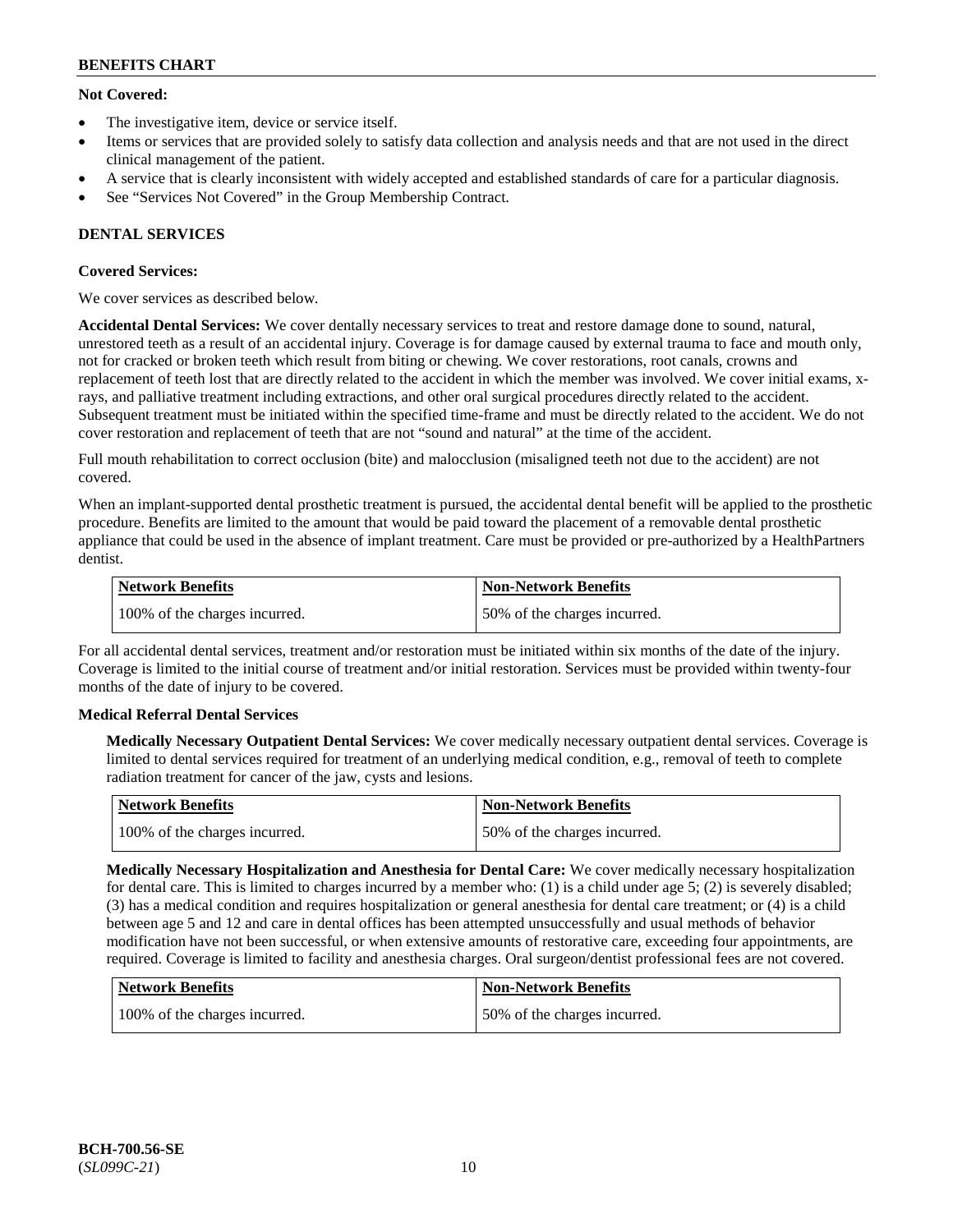## **Not Covered:**

- The investigative item, device or service itself.
- Items or services that are provided solely to satisfy data collection and analysis needs and that are not used in the direct clinical management of the patient.
- A service that is clearly inconsistent with widely accepted and established standards of care for a particular diagnosis.
- See "Services Not Covered" in the Group Membership Contract.

## **DENTAL SERVICES**

## **Covered Services:**

We cover services as described below.

**Accidental Dental Services:** We cover dentally necessary services to treat and restore damage done to sound, natural, unrestored teeth as a result of an accidental injury. Coverage is for damage caused by external trauma to face and mouth only, not for cracked or broken teeth which result from biting or chewing. We cover restorations, root canals, crowns and replacement of teeth lost that are directly related to the accident in which the member was involved. We cover initial exams, xrays, and palliative treatment including extractions, and other oral surgical procedures directly related to the accident. Subsequent treatment must be initiated within the specified time-frame and must be directly related to the accident. We do not cover restoration and replacement of teeth that are not "sound and natural" at the time of the accident.

Full mouth rehabilitation to correct occlusion (bite) and malocclusion (misaligned teeth not due to the accident) are not covered.

When an implant-supported dental prosthetic treatment is pursued, the accidental dental benefit will be applied to the prosthetic procedure. Benefits are limited to the amount that would be paid toward the placement of a removable dental prosthetic appliance that could be used in the absence of implant treatment. Care must be provided or pre-authorized by a HealthPartners dentist.

| Network Benefits              | <b>Non-Network Benefits</b>  |
|-------------------------------|------------------------------|
| 100% of the charges incurred. | 50% of the charges incurred. |

For all accidental dental services, treatment and/or restoration must be initiated within six months of the date of the injury. Coverage is limited to the initial course of treatment and/or initial restoration. Services must be provided within twenty-four months of the date of injury to be covered.

## **Medical Referral Dental Services**

**Medically Necessary Outpatient Dental Services:** We cover medically necessary outpatient dental services. Coverage is limited to dental services required for treatment of an underlying medical condition, e.g., removal of teeth to complete radiation treatment for cancer of the jaw, cysts and lesions.

| Network Benefits              | Non-Network Benefits         |
|-------------------------------|------------------------------|
| 100% of the charges incurred. | 50% of the charges incurred. |

**Medically Necessary Hospitalization and Anesthesia for Dental Care:** We cover medically necessary hospitalization for dental care. This is limited to charges incurred by a member who: (1) is a child under age  $5$ ; (2) is severely disabled; (3) has a medical condition and requires hospitalization or general anesthesia for dental care treatment; or (4) is a child between age 5 and 12 and care in dental offices has been attempted unsuccessfully and usual methods of behavior modification have not been successful, or when extensive amounts of restorative care, exceeding four appointments, are required. Coverage is limited to facility and anesthesia charges. Oral surgeon/dentist professional fees are not covered.

| Network Benefits              | <b>Non-Network Benefits</b>  |
|-------------------------------|------------------------------|
| 100% of the charges incurred. | 50% of the charges incurred. |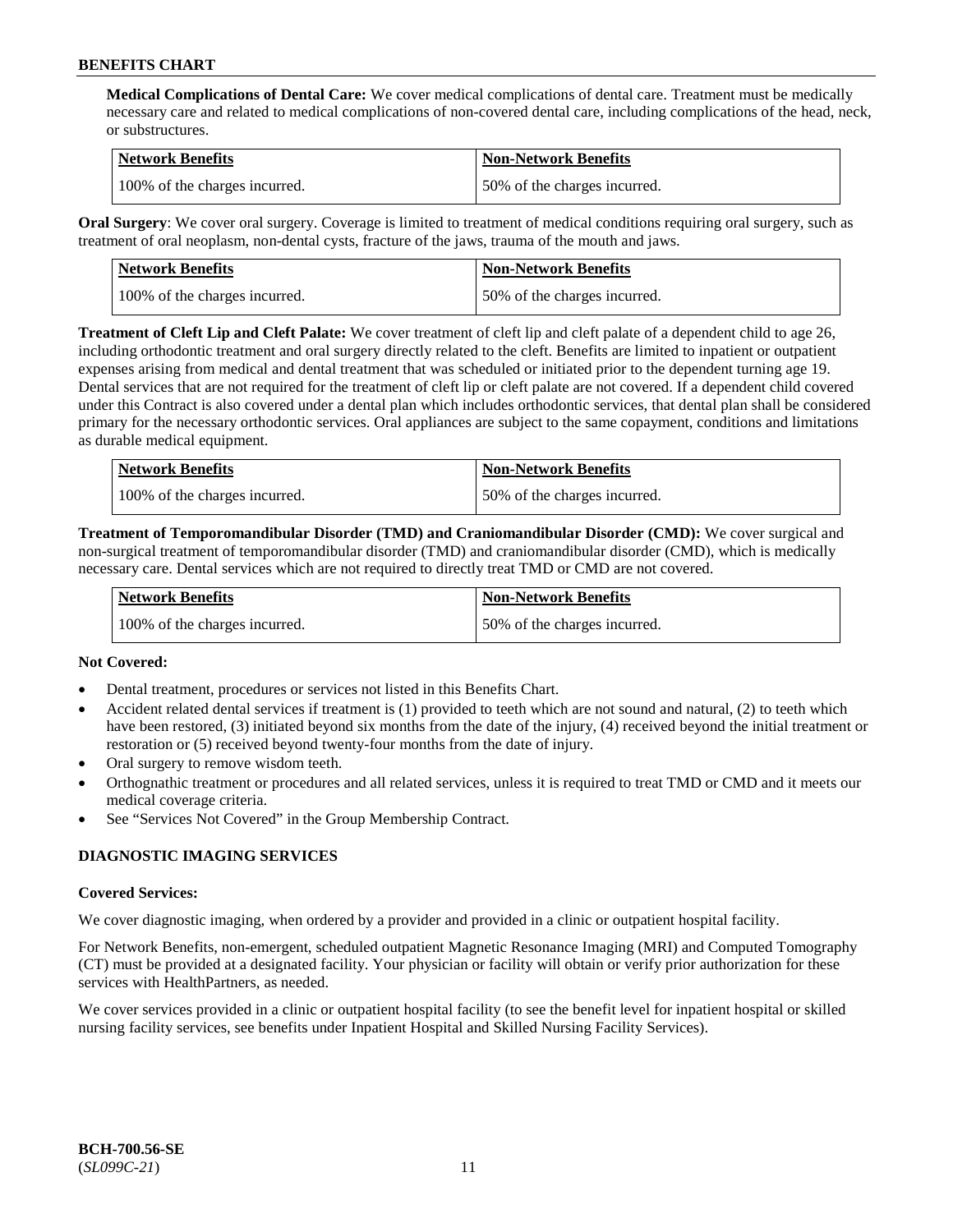**Medical Complications of Dental Care:** We cover medical complications of dental care. Treatment must be medically necessary care and related to medical complications of non-covered dental care, including complications of the head, neck, or substructures.

| Network Benefits              | <b>Non-Network Benefits</b>  |
|-------------------------------|------------------------------|
| 100% of the charges incurred. | 50% of the charges incurred. |

**Oral Surgery**: We cover oral surgery. Coverage is limited to treatment of medical conditions requiring oral surgery, such as treatment of oral neoplasm, non-dental cysts, fracture of the jaws, trauma of the mouth and jaws.

| Network Benefits              | <b>Non-Network Benefits</b>  |
|-------------------------------|------------------------------|
| 100% of the charges incurred. | 50% of the charges incurred. |

**Treatment of Cleft Lip and Cleft Palate:** We cover treatment of cleft lip and cleft palate of a dependent child to age 26, including orthodontic treatment and oral surgery directly related to the cleft. Benefits are limited to inpatient or outpatient expenses arising from medical and dental treatment that was scheduled or initiated prior to the dependent turning age 19. Dental services that are not required for the treatment of cleft lip or cleft palate are not covered. If a dependent child covered under this Contract is also covered under a dental plan which includes orthodontic services, that dental plan shall be considered primary for the necessary orthodontic services. Oral appliances are subject to the same copayment, conditions and limitations as durable medical equipment.

| <b>Network Benefits</b>       | <b>Non-Network Benefits</b>  |
|-------------------------------|------------------------------|
| 100% of the charges incurred. | 50% of the charges incurred. |

**Treatment of Temporomandibular Disorder (TMD) and Craniomandibular Disorder (CMD):** We cover surgical and non-surgical treatment of temporomandibular disorder (TMD) and craniomandibular disorder (CMD), which is medically necessary care. Dental services which are not required to directly treat TMD or CMD are not covered.

| <b>Network Benefits</b>       | <b>Non-Network Benefits</b>  |
|-------------------------------|------------------------------|
| 100% of the charges incurred. | 50% of the charges incurred. |

## **Not Covered:**

- Dental treatment, procedures or services not listed in this Benefits Chart.
- Accident related dental services if treatment is (1) provided to teeth which are not sound and natural, (2) to teeth which have been restored, (3) initiated beyond six months from the date of the injury, (4) received beyond the initial treatment or restoration or (5) received beyond twenty-four months from the date of injury.
- Oral surgery to remove wisdom teeth.
- Orthognathic treatment or procedures and all related services, unless it is required to treat TMD or CMD and it meets our medical coverage criteria.
- See "Services Not Covered" in the Group Membership Contract.

## **DIAGNOSTIC IMAGING SERVICES**

#### **Covered Services:**

We cover diagnostic imaging, when ordered by a provider and provided in a clinic or outpatient hospital facility.

For Network Benefits, non-emergent, scheduled outpatient Magnetic Resonance Imaging (MRI) and Computed Tomography (CT) must be provided at a designated facility. Your physician or facility will obtain or verify prior authorization for these services with HealthPartners, as needed.

We cover services provided in a clinic or outpatient hospital facility (to see the benefit level for inpatient hospital or skilled nursing facility services, see benefits under Inpatient Hospital and Skilled Nursing Facility Services).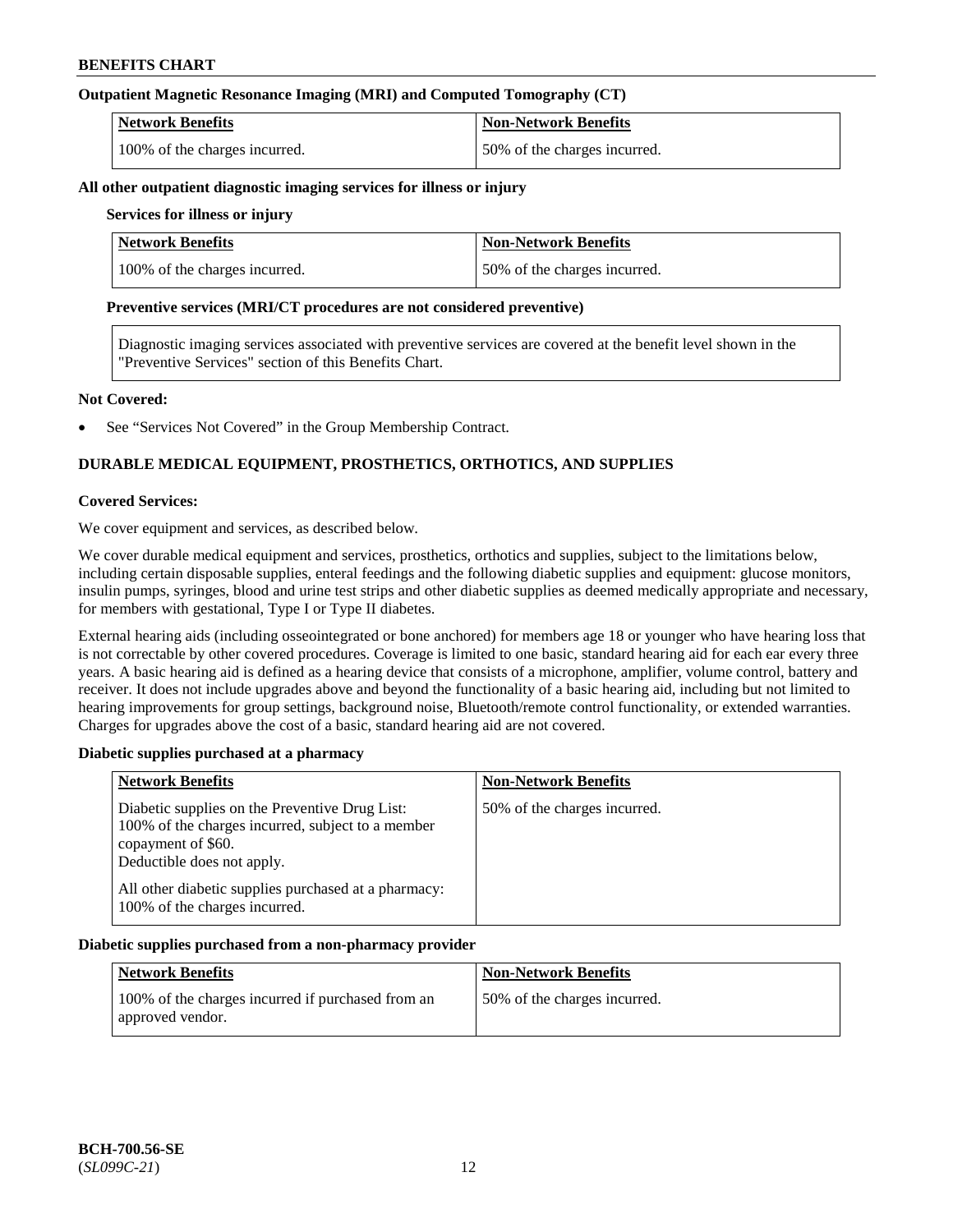## **Outpatient Magnetic Resonance Imaging (MRI) and Computed Tomography (CT)**

| <b>Network Benefits</b>       | <b>Non-Network Benefits</b>  |
|-------------------------------|------------------------------|
| 100% of the charges incurred. | 50% of the charges incurred. |

#### **All other outpatient diagnostic imaging services for illness or injury**

## **Services for illness or injury**

| <b>Network Benefits</b>       | <b>Non-Network Benefits</b>  |
|-------------------------------|------------------------------|
| 100% of the charges incurred. | 50% of the charges incurred. |

#### **Preventive services (MRI/CT procedures are not considered preventive)**

Diagnostic imaging services associated with preventive services are covered at the benefit level shown in the "Preventive Services" section of this Benefits Chart.

#### **Not Covered:**

See "Services Not Covered" in the Group Membership Contract.

## **DURABLE MEDICAL EQUIPMENT, PROSTHETICS, ORTHOTICS, AND SUPPLIES**

#### **Covered Services:**

We cover equipment and services, as described below.

We cover durable medical equipment and services, prosthetics, orthotics and supplies, subject to the limitations below, including certain disposable supplies, enteral feedings and the following diabetic supplies and equipment: glucose monitors, insulin pumps, syringes, blood and urine test strips and other diabetic supplies as deemed medically appropriate and necessary, for members with gestational, Type I or Type II diabetes.

External hearing aids (including osseointegrated or bone anchored) for members age 18 or younger who have hearing loss that is not correctable by other covered procedures. Coverage is limited to one basic, standard hearing aid for each ear every three years. A basic hearing aid is defined as a hearing device that consists of a microphone, amplifier, volume control, battery and receiver. It does not include upgrades above and beyond the functionality of a basic hearing aid, including but not limited to hearing improvements for group settings, background noise, Bluetooth/remote control functionality, or extended warranties. Charges for upgrades above the cost of a basic, standard hearing aid are not covered.

## **Diabetic supplies purchased at a pharmacy**

| <b>Network Benefits</b>                                                                                                                                 | <b>Non-Network Benefits</b>  |
|---------------------------------------------------------------------------------------------------------------------------------------------------------|------------------------------|
| Diabetic supplies on the Preventive Drug List:<br>100% of the charges incurred, subject to a member<br>copayment of \$60.<br>Deductible does not apply. | 50% of the charges incurred. |
| All other diabetic supplies purchased at a pharmacy:<br>100% of the charges incurred.                                                                   |                              |

#### **Diabetic supplies purchased from a non-pharmacy provider**

| <b>Network Benefits</b>                                               | <b>Non-Network Benefits</b>  |
|-----------------------------------------------------------------------|------------------------------|
| 100% of the charges incurred if purchased from an<br>approved vendor. | 50% of the charges incurred. |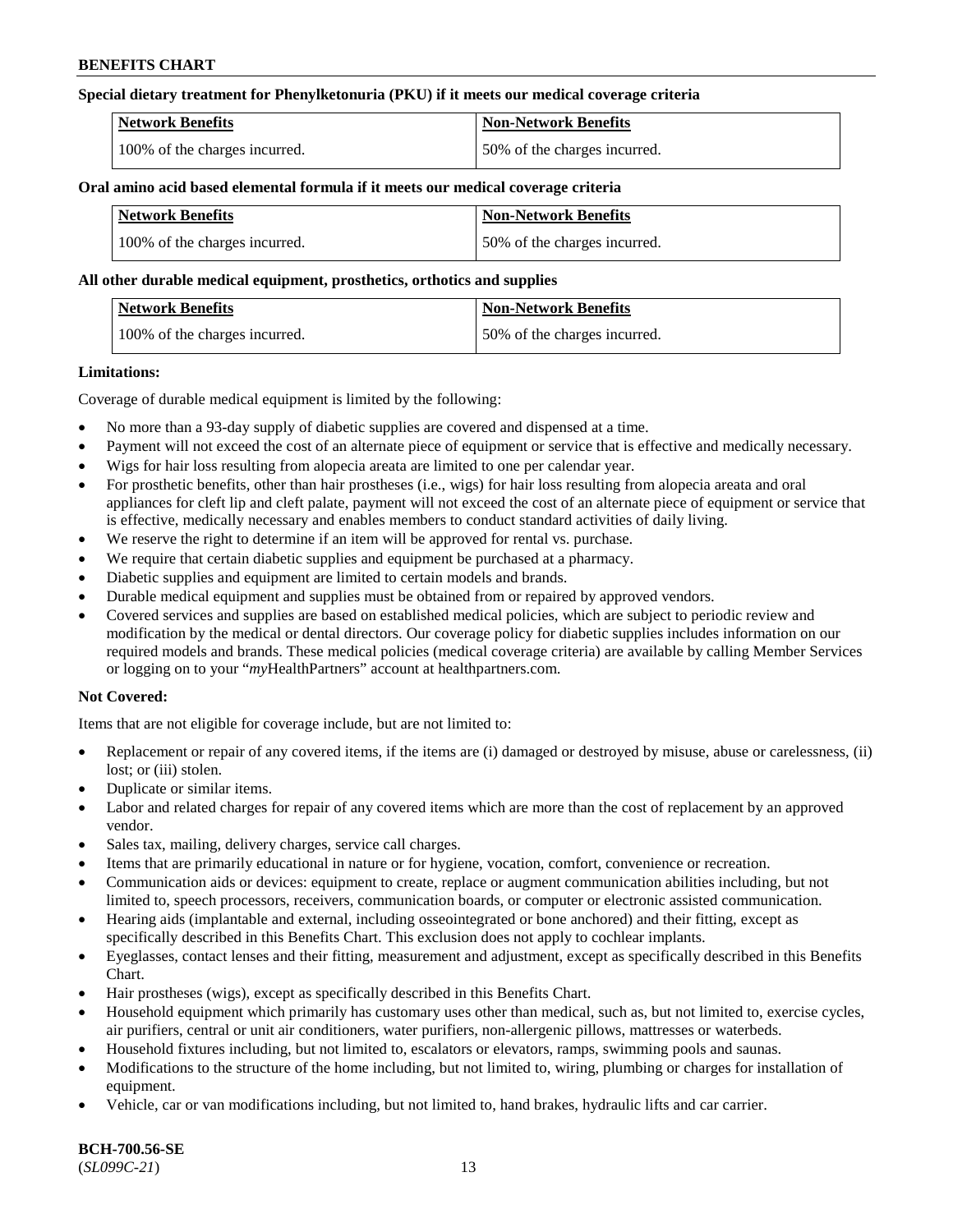## **Special dietary treatment for Phenylketonuria (PKU) if it meets our medical coverage criteria**

| <b>Network Benefits</b>       | <b>Non-Network Benefits</b>  |
|-------------------------------|------------------------------|
| 100% of the charges incurred. | 50% of the charges incurred. |

#### **Oral amino acid based elemental formula if it meets our medical coverage criteria**

| <b>Network Benefits</b>       | Non-Network Benefits         |
|-------------------------------|------------------------------|
| 100% of the charges incurred. | 50% of the charges incurred. |

#### **All other durable medical equipment, prosthetics, orthotics and supplies**

| Network Benefits              | <b>Non-Network Benefits</b>  |
|-------------------------------|------------------------------|
| 100% of the charges incurred. | 50% of the charges incurred. |

#### **Limitations:**

Coverage of durable medical equipment is limited by the following:

- No more than a 93-day supply of diabetic supplies are covered and dispensed at a time.
- Payment will not exceed the cost of an alternate piece of equipment or service that is effective and medically necessary.
- Wigs for hair loss resulting from alopecia areata are limited to one per calendar year.
- For prosthetic benefits, other than hair prostheses (i.e., wigs) for hair loss resulting from alopecia areata and oral appliances for cleft lip and cleft palate, payment will not exceed the cost of an alternate piece of equipment or service that is effective, medically necessary and enables members to conduct standard activities of daily living.
- We reserve the right to determine if an item will be approved for rental vs. purchase.
- We require that certain diabetic supplies and equipment be purchased at a pharmacy.
- Diabetic supplies and equipment are limited to certain models and brands.
- Durable medical equipment and supplies must be obtained from or repaired by approved vendors.
- Covered services and supplies are based on established medical policies, which are subject to periodic review and modification by the medical or dental directors. Our coverage policy for diabetic supplies includes information on our required models and brands. These medical policies (medical coverage criteria) are available by calling Member Services or logging on to your "*my*HealthPartners" account a[t healthpartners.com.](https://www.healthpartners.com/hp/index.html)

## **Not Covered:**

Items that are not eligible for coverage include, but are not limited to:

- Replacement or repair of any covered items, if the items are (i) damaged or destroyed by misuse, abuse or carelessness, (ii) lost; or (iii) stolen.
- Duplicate or similar items.
- Labor and related charges for repair of any covered items which are more than the cost of replacement by an approved vendor.
- Sales tax, mailing, delivery charges, service call charges.
- Items that are primarily educational in nature or for hygiene, vocation, comfort, convenience or recreation.
- Communication aids or devices: equipment to create, replace or augment communication abilities including, but not limited to, speech processors, receivers, communication boards, or computer or electronic assisted communication.
- Hearing aids (implantable and external, including osseointegrated or bone anchored) and their fitting, except as specifically described in this Benefits Chart. This exclusion does not apply to cochlear implants.
- Eyeglasses, contact lenses and their fitting, measurement and adjustment, except as specifically described in this Benefits Chart.
- Hair prostheses (wigs), except as specifically described in this Benefits Chart.
- Household equipment which primarily has customary uses other than medical, such as, but not limited to, exercise cycles, air purifiers, central or unit air conditioners, water purifiers, non-allergenic pillows, mattresses or waterbeds.
- Household fixtures including, but not limited to, escalators or elevators, ramps, swimming pools and saunas.
- Modifications to the structure of the home including, but not limited to, wiring, plumbing or charges for installation of equipment.
- Vehicle, car or van modifications including, but not limited to, hand brakes, hydraulic lifts and car carrier.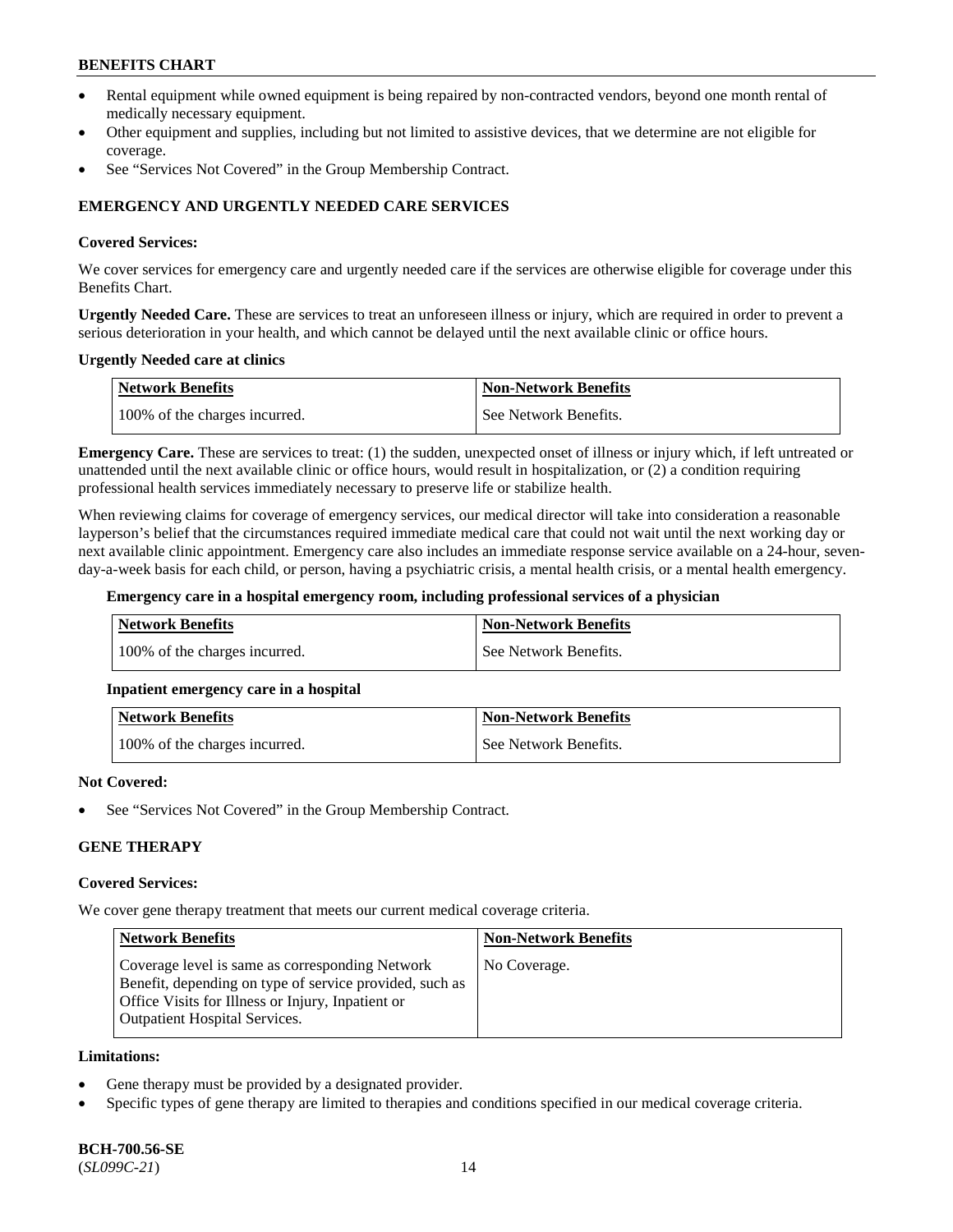- Rental equipment while owned equipment is being repaired by non-contracted vendors, beyond one month rental of medically necessary equipment.
- Other equipment and supplies, including but not limited to assistive devices, that we determine are not eligible for coverage.
- See "Services Not Covered" in the Group Membership Contract.

## **EMERGENCY AND URGENTLY NEEDED CARE SERVICES**

#### **Covered Services:**

We cover services for emergency care and urgently needed care if the services are otherwise eligible for coverage under this Benefits Chart.

**Urgently Needed Care.** These are services to treat an unforeseen illness or injury, which are required in order to prevent a serious deterioration in your health, and which cannot be delayed until the next available clinic or office hours.

#### **Urgently Needed care at clinics**

| <b>Network Benefits</b>       | <b>Non-Network Benefits</b> |
|-------------------------------|-----------------------------|
| 100% of the charges incurred. | See Network Benefits.       |

**Emergency Care.** These are services to treat: (1) the sudden, unexpected onset of illness or injury which, if left untreated or unattended until the next available clinic or office hours, would result in hospitalization, or (2) a condition requiring professional health services immediately necessary to preserve life or stabilize health.

When reviewing claims for coverage of emergency services, our medical director will take into consideration a reasonable layperson's belief that the circumstances required immediate medical care that could not wait until the next working day or next available clinic appointment. Emergency care also includes an immediate response service available on a 24-hour, sevenday-a-week basis for each child, or person, having a psychiatric crisis, a mental health crisis, or a mental health emergency.

#### **Emergency care in a hospital emergency room, including professional services of a physician**

| Network Benefits              | Non-Network Benefits  |
|-------------------------------|-----------------------|
| 100% of the charges incurred. | See Network Benefits. |

## **Inpatient emergency care in a hospital**

| Network Benefits              | <b>Non-Network Benefits</b> |
|-------------------------------|-----------------------------|
| 100% of the charges incurred. | See Network Benefits.       |

#### **Not Covered:**

See "Services Not Covered" in the Group Membership Contract.

## **GENE THERAPY**

#### **Covered Services:**

We cover gene therapy treatment that meets our current medical coverage criteria.

| <b>Network Benefits</b>                                                                                                                                                                                 | <b>Non-Network Benefits</b> |
|---------------------------------------------------------------------------------------------------------------------------------------------------------------------------------------------------------|-----------------------------|
| Coverage level is same as corresponding Network<br>Benefit, depending on type of service provided, such as<br>Office Visits for Illness or Injury, Inpatient or<br><b>Outpatient Hospital Services.</b> | No Coverage.                |

#### **Limitations:**

- Gene therapy must be provided by a designated provider.
- Specific types of gene therapy are limited to therapies and conditions specified in our medical coverage criteria.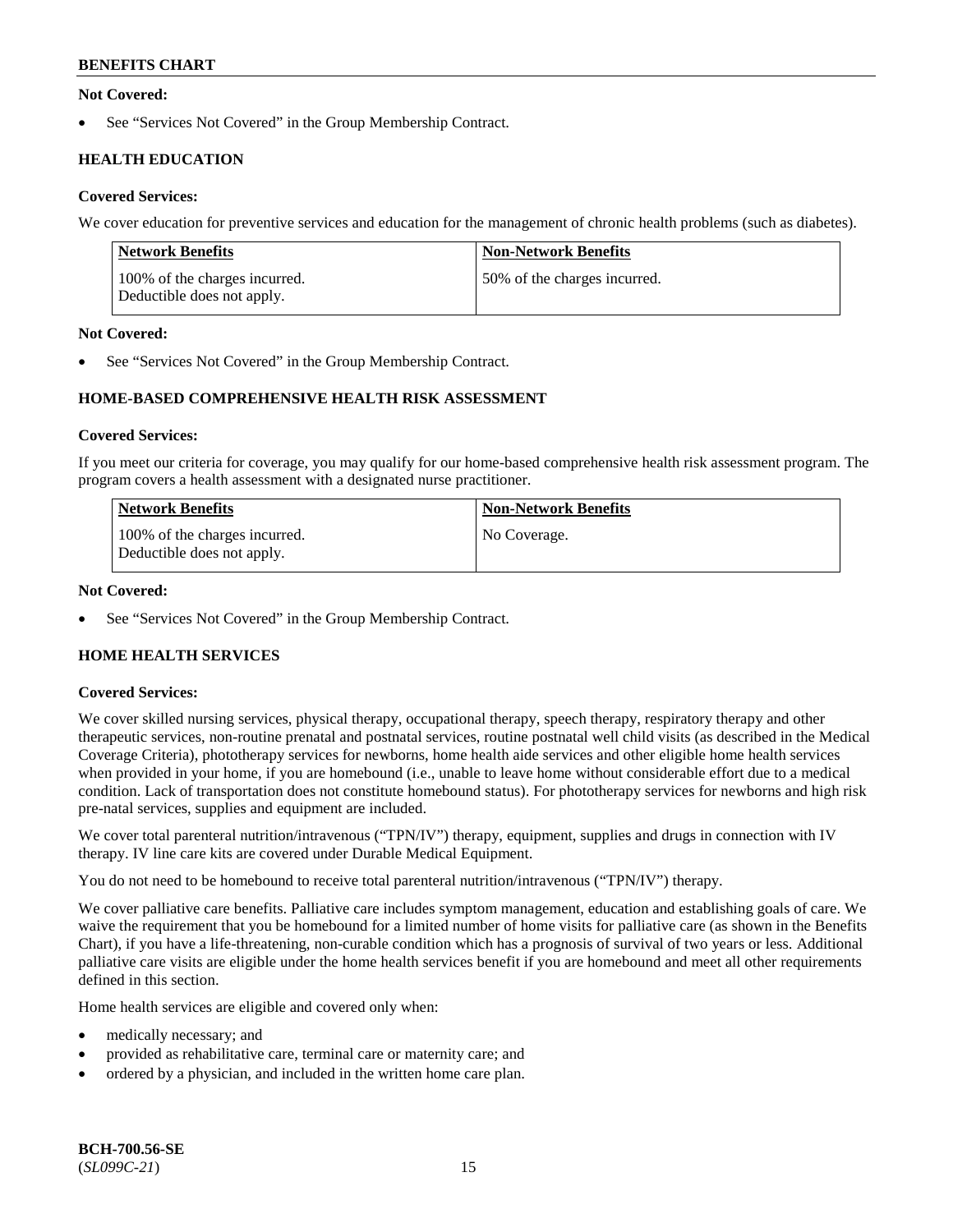## **Not Covered:**

See "Services Not Covered" in the Group Membership Contract.

## **HEALTH EDUCATION**

## **Covered Services:**

We cover education for preventive services and education for the management of chronic health problems (such as diabetes).

| Network Benefits                                            | <b>Non-Network Benefits</b>  |
|-------------------------------------------------------------|------------------------------|
| 100% of the charges incurred.<br>Deductible does not apply. | 50% of the charges incurred. |

## **Not Covered:**

See "Services Not Covered" in the Group Membership Contract.

## **HOME-BASED COMPREHENSIVE HEALTH RISK ASSESSMENT**

#### **Covered Services:**

If you meet our criteria for coverage, you may qualify for our home-based comprehensive health risk assessment program. The program covers a health assessment with a designated nurse practitioner.

| <b>Network Benefits</b>                                     | <b>Non-Network Benefits</b> |
|-------------------------------------------------------------|-----------------------------|
| 100% of the charges incurred.<br>Deductible does not apply. | No Coverage.                |

## **Not Covered:**

See "Services Not Covered" in the Group Membership Contract.

## **HOME HEALTH SERVICES**

## **Covered Services:**

We cover skilled nursing services, physical therapy, occupational therapy, speech therapy, respiratory therapy and other therapeutic services, non-routine prenatal and postnatal services, routine postnatal well child visits (as described in the Medical Coverage Criteria), phototherapy services for newborns, home health aide services and other eligible home health services when provided in your home, if you are homebound (i.e., unable to leave home without considerable effort due to a medical condition. Lack of transportation does not constitute homebound status). For phototherapy services for newborns and high risk pre-natal services, supplies and equipment are included.

We cover total parenteral nutrition/intravenous ("TPN/IV") therapy, equipment, supplies and drugs in connection with IV therapy. IV line care kits are covered under Durable Medical Equipment.

You do not need to be homebound to receive total parenteral nutrition/intravenous ("TPN/IV") therapy.

We cover palliative care benefits. Palliative care includes symptom management, education and establishing goals of care. We waive the requirement that you be homebound for a limited number of home visits for palliative care (as shown in the Benefits Chart), if you have a life-threatening, non-curable condition which has a prognosis of survival of two years or less. Additional palliative care visits are eligible under the home health services benefit if you are homebound and meet all other requirements defined in this section.

Home health services are eligible and covered only when:

- medically necessary; and
- provided as rehabilitative care, terminal care or maternity care; and
- ordered by a physician, and included in the written home care plan.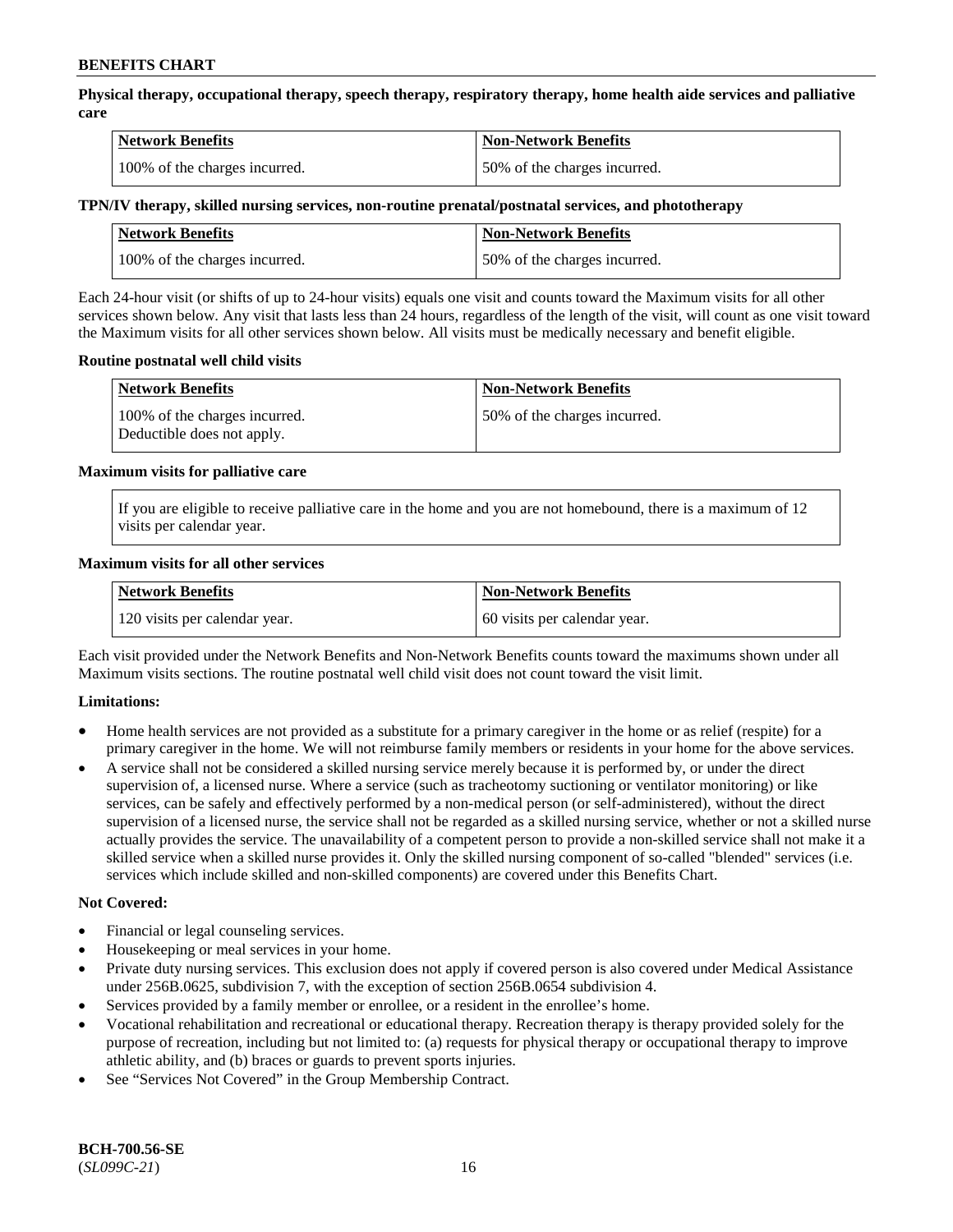**Physical therapy, occupational therapy, speech therapy, respiratory therapy, home health aide services and palliative care**

| <b>Network Benefits</b>       | <b>Non-Network Benefits</b>  |
|-------------------------------|------------------------------|
| 100% of the charges incurred. | 50% of the charges incurred. |

## **TPN/IV therapy, skilled nursing services, non-routine prenatal/postnatal services, and phototherapy**

| <b>Network Benefits</b>       | <b>Non-Network Benefits</b>  |
|-------------------------------|------------------------------|
| 100% of the charges incurred. | 50% of the charges incurred. |

Each 24-hour visit (or shifts of up to 24-hour visits) equals one visit and counts toward the Maximum visits for all other services shown below. Any visit that lasts less than 24 hours, regardless of the length of the visit, will count as one visit toward the Maximum visits for all other services shown below. All visits must be medically necessary and benefit eligible.

#### **Routine postnatal well child visits**

| <b>Network Benefits</b>                                     | <b>Non-Network Benefits</b>  |
|-------------------------------------------------------------|------------------------------|
| 100% of the charges incurred.<br>Deductible does not apply. | 50% of the charges incurred. |

#### **Maximum visits for palliative care**

If you are eligible to receive palliative care in the home and you are not homebound, there is a maximum of 12 visits per calendar year.

#### **Maximum visits for all other services**

| <b>Network Benefits</b>       | <b>Non-Network Benefits</b>  |
|-------------------------------|------------------------------|
| 120 visits per calendar year. | 60 visits per calendar year. |

Each visit provided under the Network Benefits and Non-Network Benefits counts toward the maximums shown under all Maximum visits sections. The routine postnatal well child visit does not count toward the visit limit.

## **Limitations:**

- Home health services are not provided as a substitute for a primary caregiver in the home or as relief (respite) for a primary caregiver in the home. We will not reimburse family members or residents in your home for the above services.
- A service shall not be considered a skilled nursing service merely because it is performed by, or under the direct supervision of, a licensed nurse. Where a service (such as tracheotomy suctioning or ventilator monitoring) or like services, can be safely and effectively performed by a non-medical person (or self-administered), without the direct supervision of a licensed nurse, the service shall not be regarded as a skilled nursing service, whether or not a skilled nurse actually provides the service. The unavailability of a competent person to provide a non-skilled service shall not make it a skilled service when a skilled nurse provides it. Only the skilled nursing component of so-called "blended" services (i.e. services which include skilled and non-skilled components) are covered under this Benefits Chart.

## **Not Covered:**

- Financial or legal counseling services.
- Housekeeping or meal services in your home.
- Private duty nursing services. This exclusion does not apply if covered person is also covered under Medical Assistance under 256B.0625, subdivision 7, with the exception of section 256B.0654 subdivision 4.
- Services provided by a family member or enrollee, or a resident in the enrollee's home.
- Vocational rehabilitation and recreational or educational therapy. Recreation therapy is therapy provided solely for the purpose of recreation, including but not limited to: (a) requests for physical therapy or occupational therapy to improve athletic ability, and (b) braces or guards to prevent sports injuries.
- See "Services Not Covered" in the Group Membership Contract.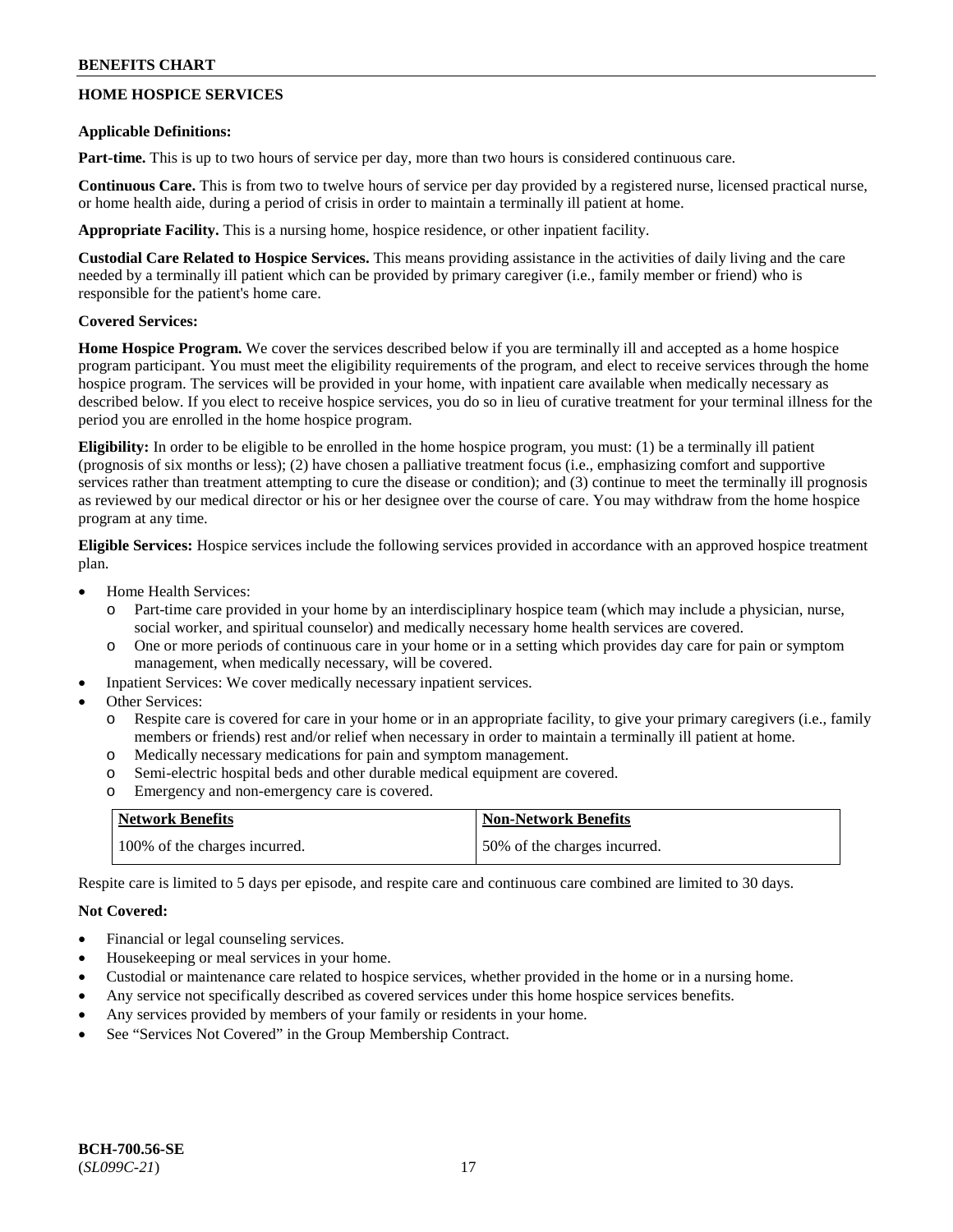## **HOME HOSPICE SERVICES**

#### **Applicable Definitions:**

**Part-time.** This is up to two hours of service per day, more than two hours is considered continuous care.

**Continuous Care.** This is from two to twelve hours of service per day provided by a registered nurse, licensed practical nurse, or home health aide, during a period of crisis in order to maintain a terminally ill patient at home.

**Appropriate Facility.** This is a nursing home, hospice residence, or other inpatient facility.

**Custodial Care Related to Hospice Services.** This means providing assistance in the activities of daily living and the care needed by a terminally ill patient which can be provided by primary caregiver (i.e., family member or friend) who is responsible for the patient's home care.

## **Covered Services:**

**Home Hospice Program.** We cover the services described below if you are terminally ill and accepted as a home hospice program participant. You must meet the eligibility requirements of the program, and elect to receive services through the home hospice program. The services will be provided in your home, with inpatient care available when medically necessary as described below. If you elect to receive hospice services, you do so in lieu of curative treatment for your terminal illness for the period you are enrolled in the home hospice program.

**Eligibility:** In order to be eligible to be enrolled in the home hospice program, you must: (1) be a terminally ill patient (prognosis of six months or less); (2) have chosen a palliative treatment focus (i.e., emphasizing comfort and supportive services rather than treatment attempting to cure the disease or condition); and (3) continue to meet the terminally ill prognosis as reviewed by our medical director or his or her designee over the course of care. You may withdraw from the home hospice program at any time.

**Eligible Services:** Hospice services include the following services provided in accordance with an approved hospice treatment plan.

- Home Health Services:
	- o Part-time care provided in your home by an interdisciplinary hospice team (which may include a physician, nurse, social worker, and spiritual counselor) and medically necessary home health services are covered.
	- o One or more periods of continuous care in your home or in a setting which provides day care for pain or symptom management, when medically necessary, will be covered.
- Inpatient Services: We cover medically necessary inpatient services.
- Other Services:
	- o Respite care is covered for care in your home or in an appropriate facility, to give your primary caregivers (i.e., family members or friends) rest and/or relief when necessary in order to maintain a terminally ill patient at home.
	- o Medically necessary medications for pain and symptom management.
	- o Semi-electric hospital beds and other durable medical equipment are covered.
	- o Emergency and non-emergency care is covered.

| <b>Network Benefits</b>       | <b>Non-Network Benefits</b>  |
|-------------------------------|------------------------------|
| 100% of the charges incurred. | 50% of the charges incurred. |

Respite care is limited to 5 days per episode, and respite care and continuous care combined are limited to 30 days.

## **Not Covered:**

- Financial or legal counseling services.
- Housekeeping or meal services in your home.
- Custodial or maintenance care related to hospice services, whether provided in the home or in a nursing home.
- Any service not specifically described as covered services under this home hospice services benefits.
- Any services provided by members of your family or residents in your home.
- See "Services Not Covered" in the Group Membership Contract.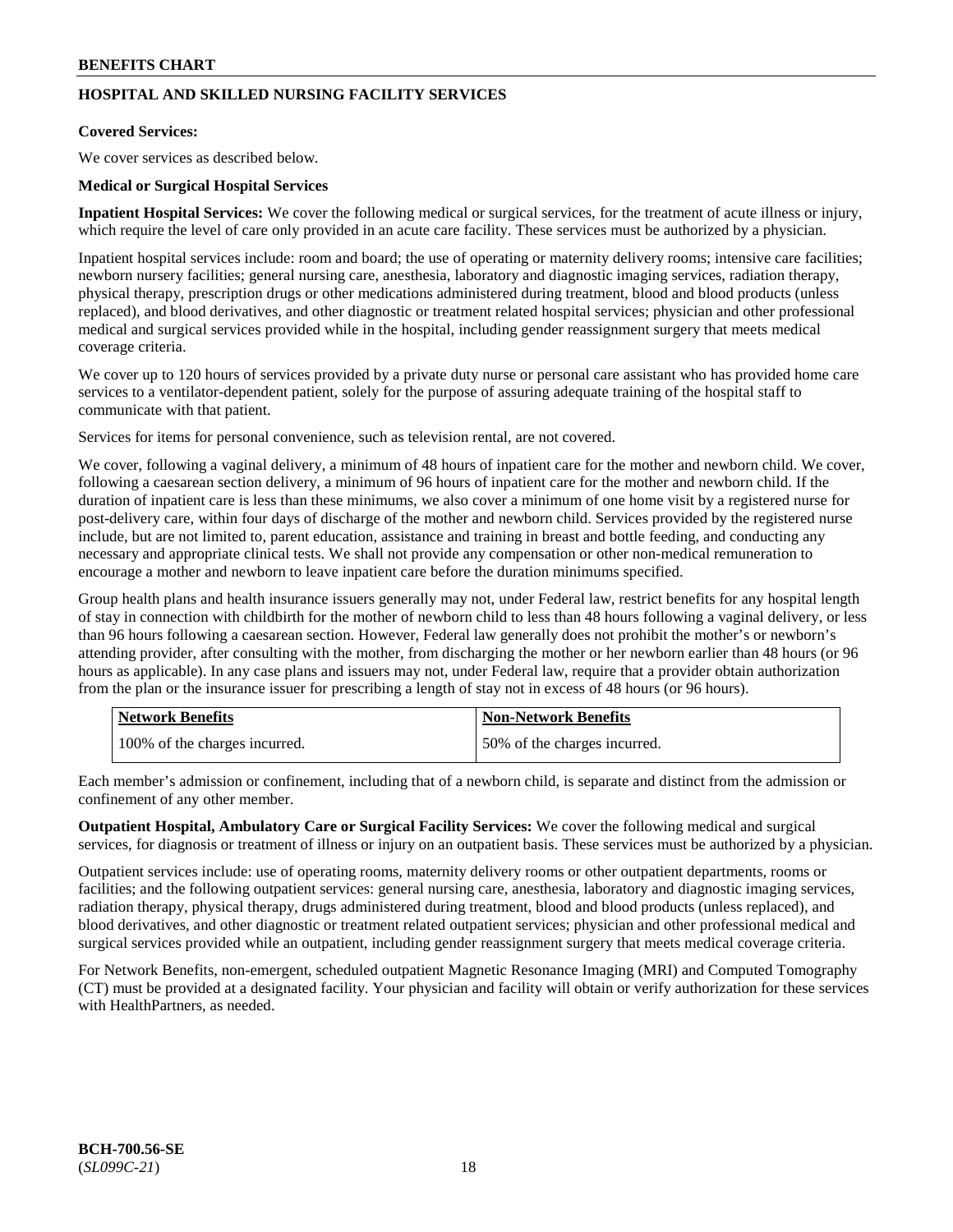## **HOSPITAL AND SKILLED NURSING FACILITY SERVICES**

## **Covered Services:**

We cover services as described below.

#### **Medical or Surgical Hospital Services**

**Inpatient Hospital Services:** We cover the following medical or surgical services, for the treatment of acute illness or injury, which require the level of care only provided in an acute care facility. These services must be authorized by a physician.

Inpatient hospital services include: room and board; the use of operating or maternity delivery rooms; intensive care facilities; newborn nursery facilities; general nursing care, anesthesia, laboratory and diagnostic imaging services, radiation therapy, physical therapy, prescription drugs or other medications administered during treatment, blood and blood products (unless replaced), and blood derivatives, and other diagnostic or treatment related hospital services; physician and other professional medical and surgical services provided while in the hospital, including gender reassignment surgery that meets medical coverage criteria.

We cover up to 120 hours of services provided by a private duty nurse or personal care assistant who has provided home care services to a ventilator-dependent patient, solely for the purpose of assuring adequate training of the hospital staff to communicate with that patient.

Services for items for personal convenience, such as television rental, are not covered.

We cover, following a vaginal delivery, a minimum of 48 hours of inpatient care for the mother and newborn child. We cover, following a caesarean section delivery, a minimum of 96 hours of inpatient care for the mother and newborn child. If the duration of inpatient care is less than these minimums, we also cover a minimum of one home visit by a registered nurse for post-delivery care, within four days of discharge of the mother and newborn child. Services provided by the registered nurse include, but are not limited to, parent education, assistance and training in breast and bottle feeding, and conducting any necessary and appropriate clinical tests. We shall not provide any compensation or other non-medical remuneration to encourage a mother and newborn to leave inpatient care before the duration minimums specified.

Group health plans and health insurance issuers generally may not, under Federal law, restrict benefits for any hospital length of stay in connection with childbirth for the mother of newborn child to less than 48 hours following a vaginal delivery, or less than 96 hours following a caesarean section. However, Federal law generally does not prohibit the mother's or newborn's attending provider, after consulting with the mother, from discharging the mother or her newborn earlier than 48 hours (or 96 hours as applicable). In any case plans and issuers may not, under Federal law, require that a provider obtain authorization from the plan or the insurance issuer for prescribing a length of stay not in excess of 48 hours (or 96 hours).

| <b>Network Benefits</b>       | Non-Network Benefits         |
|-------------------------------|------------------------------|
| 100% of the charges incurred. | 50% of the charges incurred. |

Each member's admission or confinement, including that of a newborn child, is separate and distinct from the admission or confinement of any other member.

**Outpatient Hospital, Ambulatory Care or Surgical Facility Services:** We cover the following medical and surgical services, for diagnosis or treatment of illness or injury on an outpatient basis. These services must be authorized by a physician.

Outpatient services include: use of operating rooms, maternity delivery rooms or other outpatient departments, rooms or facilities; and the following outpatient services: general nursing care, anesthesia, laboratory and diagnostic imaging services, radiation therapy, physical therapy, drugs administered during treatment, blood and blood products (unless replaced), and blood derivatives, and other diagnostic or treatment related outpatient services; physician and other professional medical and surgical services provided while an outpatient, including gender reassignment surgery that meets medical coverage criteria.

For Network Benefits, non-emergent, scheduled outpatient Magnetic Resonance Imaging (MRI) and Computed Tomography (CT) must be provided at a designated facility. Your physician and facility will obtain or verify authorization for these services with HealthPartners, as needed.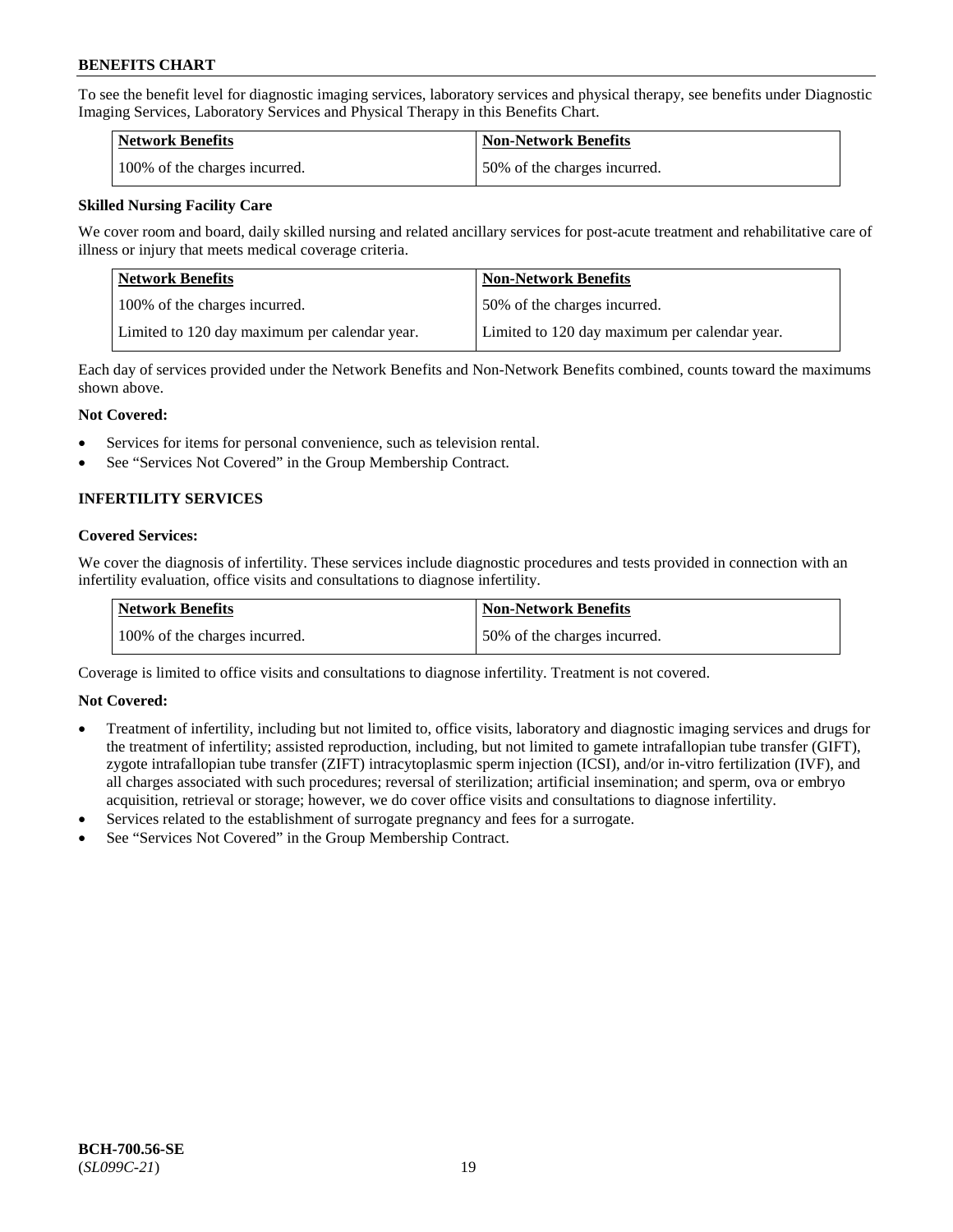To see the benefit level for diagnostic imaging services, laboratory services and physical therapy, see benefits under Diagnostic Imaging Services, Laboratory Services and Physical Therapy in this Benefits Chart.

| <b>Network Benefits</b>       | Non-Network Benefits         |
|-------------------------------|------------------------------|
| 100% of the charges incurred. | 50% of the charges incurred. |

## **Skilled Nursing Facility Care**

We cover room and board, daily skilled nursing and related ancillary services for post-acute treatment and rehabilitative care of illness or injury that meets medical coverage criteria.

| Network Benefits                              | <b>Non-Network Benefits</b>                   |
|-----------------------------------------------|-----------------------------------------------|
| 100\% of the charges incurred.                | 50% of the charges incurred.                  |
| Limited to 120 day maximum per calendar year. | Limited to 120 day maximum per calendar year. |

Each day of services provided under the Network Benefits and Non-Network Benefits combined, counts toward the maximums shown above.

## **Not Covered:**

- Services for items for personal convenience, such as television rental.
- See "Services Not Covered" in the Group Membership Contract.

## **INFERTILITY SERVICES**

## **Covered Services:**

We cover the diagnosis of infertility. These services include diagnostic procedures and tests provided in connection with an infertility evaluation, office visits and consultations to diagnose infertility.

| Network Benefits              | <b>Non-Network Benefits</b>  |
|-------------------------------|------------------------------|
| 100% of the charges incurred. | 50% of the charges incurred. |

Coverage is limited to office visits and consultations to diagnose infertility. Treatment is not covered.

## **Not Covered:**

- Treatment of infertility, including but not limited to, office visits, laboratory and diagnostic imaging services and drugs for the treatment of infertility; assisted reproduction, including, but not limited to gamete intrafallopian tube transfer (GIFT), zygote intrafallopian tube transfer (ZIFT) intracytoplasmic sperm injection (ICSI), and/or in-vitro fertilization (IVF), and all charges associated with such procedures; reversal of sterilization; artificial insemination; and sperm, ova or embryo acquisition, retrieval or storage; however, we do cover office visits and consultations to diagnose infertility.
- Services related to the establishment of surrogate pregnancy and fees for a surrogate.
- See "Services Not Covered" in the Group Membership Contract.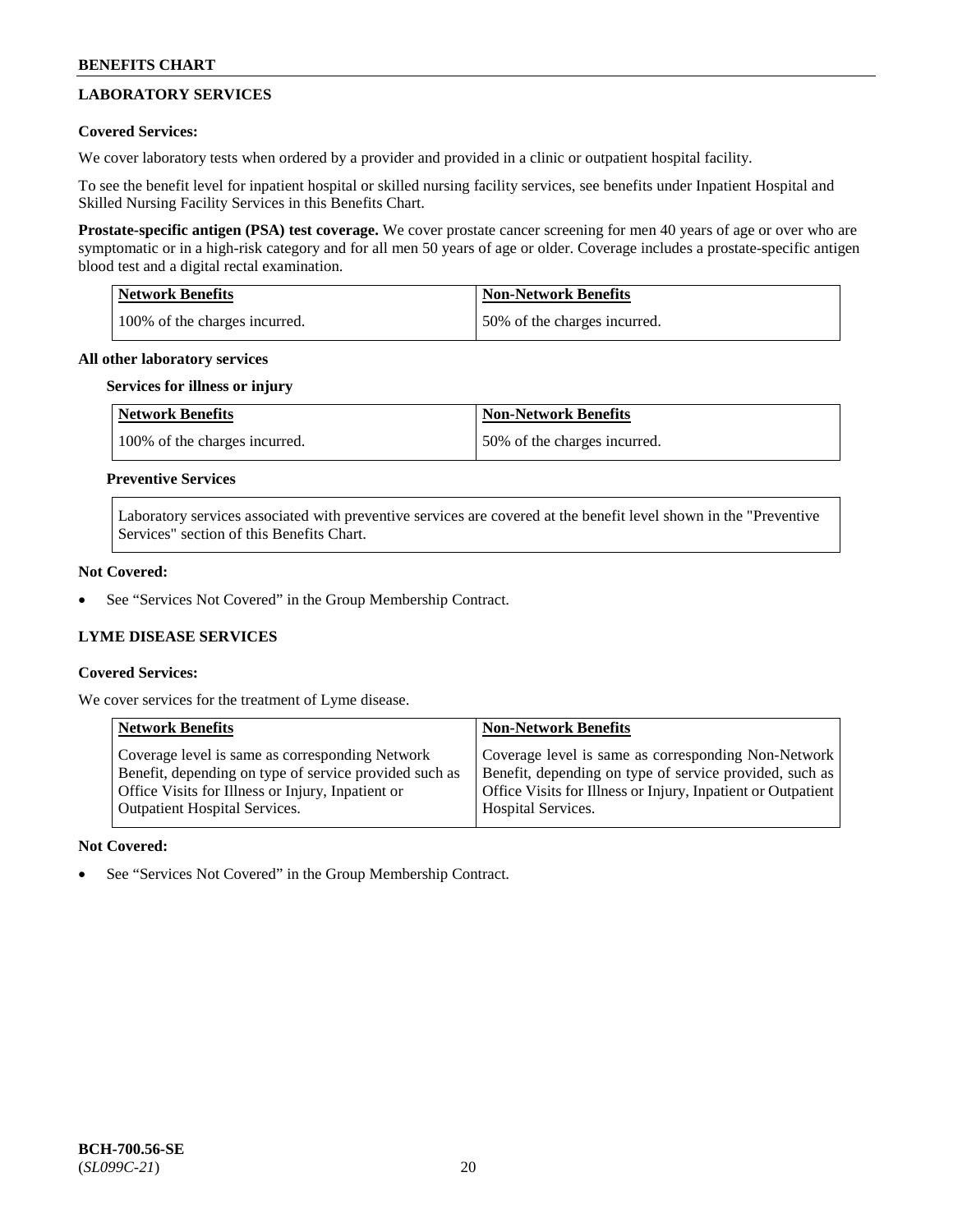## **LABORATORY SERVICES**

## **Covered Services:**

We cover laboratory tests when ordered by a provider and provided in a clinic or outpatient hospital facility.

To see the benefit level for inpatient hospital or skilled nursing facility services, see benefits under Inpatient Hospital and Skilled Nursing Facility Services in this Benefits Chart.

**Prostate-specific antigen (PSA) test coverage.** We cover prostate cancer screening for men 40 years of age or over who are symptomatic or in a high-risk category and for all men 50 years of age or older. Coverage includes a prostate-specific antigen blood test and a digital rectal examination.

| <b>Network Benefits</b>       | <b>Non-Network Benefits</b>  |
|-------------------------------|------------------------------|
| 100% of the charges incurred. | 50% of the charges incurred. |

#### **All other laboratory services**

#### **Services for illness or injury**

| <b>Network Benefits</b>       | <b>Non-Network Benefits</b>  |
|-------------------------------|------------------------------|
| 100% of the charges incurred. | 50% of the charges incurred. |

## **Preventive Services**

Laboratory services associated with preventive services are covered at the benefit level shown in the "Preventive Services" section of this Benefits Chart.

#### **Not Covered:**

See "Services Not Covered" in the Group Membership Contract.

## **LYME DISEASE SERVICES**

## **Covered Services:**

We cover services for the treatment of Lyme disease.

| <b>Network Benefits</b>                                | <b>Non-Network Benefits</b>                                  |
|--------------------------------------------------------|--------------------------------------------------------------|
| Coverage level is same as corresponding Network        | Coverage level is same as corresponding Non-Network          |
| Benefit, depending on type of service provided such as | Benefit, depending on type of service provided, such as      |
| Office Visits for Illness or Injury, Inpatient or      | Office Visits for Illness or Injury, Inpatient or Outpatient |
| <b>Outpatient Hospital Services.</b>                   | Hospital Services.                                           |

## **Not Covered:**

See "Services Not Covered" in the Group Membership Contract.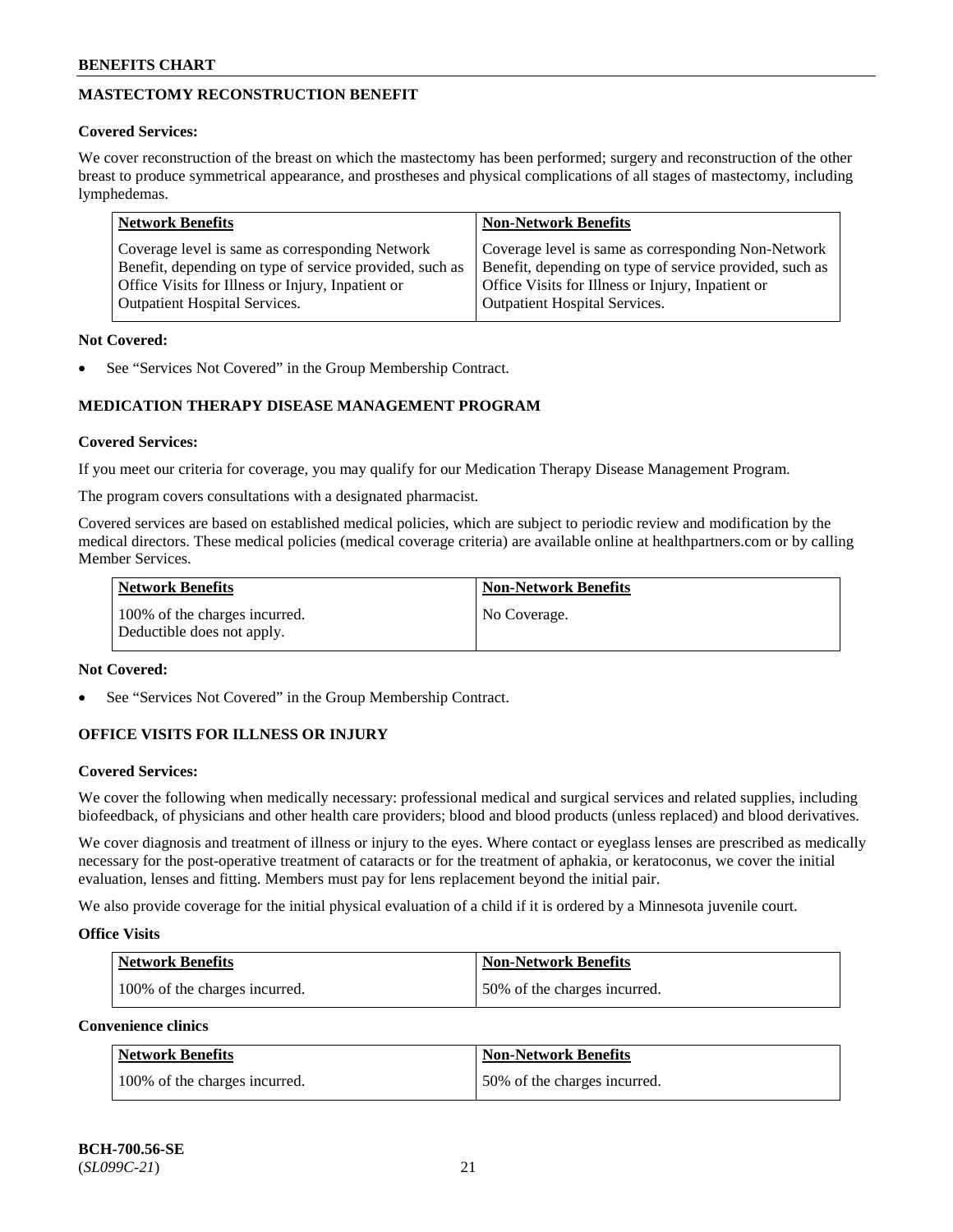## **MASTECTOMY RECONSTRUCTION BENEFIT**

## **Covered Services:**

We cover reconstruction of the breast on which the mastectomy has been performed; surgery and reconstruction of the other breast to produce symmetrical appearance, and prostheses and physical complications of all stages of mastectomy, including lymphedemas.

| <b>Network Benefits</b>                                 | <b>Non-Network Benefits</b>                             |
|---------------------------------------------------------|---------------------------------------------------------|
| Coverage level is same as corresponding Network         | Coverage level is same as corresponding Non-Network     |
| Benefit, depending on type of service provided, such as | Benefit, depending on type of service provided, such as |
| Office Visits for Illness or Injury, Inpatient or       | Office Visits for Illness or Injury, Inpatient or       |
| <b>Outpatient Hospital Services.</b>                    | <b>Outpatient Hospital Services.</b>                    |

## **Not Covered:**

See "Services Not Covered" in the Group Membership Contract.

## **MEDICATION THERAPY DISEASE MANAGEMENT PROGRAM**

## **Covered Services:**

If you meet our criteria for coverage, you may qualify for our Medication Therapy Disease Management Program.

The program covers consultations with a designated pharmacist.

Covered services are based on established medical policies, which are subject to periodic review and modification by the medical directors. These medical policies (medical coverage criteria) are available online at [healthpartners.com](https://www.healthpartners.com/hp/index.html) or by calling Member Services.

| Network Benefits                                            | <b>Non-Network Benefits</b> |
|-------------------------------------------------------------|-----------------------------|
| 100% of the charges incurred.<br>Deductible does not apply. | No Coverage.                |

## **Not Covered:**

See "Services Not Covered" in the Group Membership Contract.

## **OFFICE VISITS FOR ILLNESS OR INJURY**

## **Covered Services:**

We cover the following when medically necessary: professional medical and surgical services and related supplies, including biofeedback, of physicians and other health care providers; blood and blood products (unless replaced) and blood derivatives.

We cover diagnosis and treatment of illness or injury to the eyes. Where contact or eyeglass lenses are prescribed as medically necessary for the post-operative treatment of cataracts or for the treatment of aphakia, or keratoconus, we cover the initial evaluation, lenses and fitting. Members must pay for lens replacement beyond the initial pair.

We also provide coverage for the initial physical evaluation of a child if it is ordered by a Minnesota juvenile court.

## **Office Visits**

| <b>Network Benefits</b>       | <b>Non-Network Benefits</b>  |
|-------------------------------|------------------------------|
| 100% of the charges incurred. | 50% of the charges incurred. |

**Convenience clinics**

| Network Benefits              | <b>Non-Network Benefits</b>  |
|-------------------------------|------------------------------|
| 100% of the charges incurred. | 50% of the charges incurred. |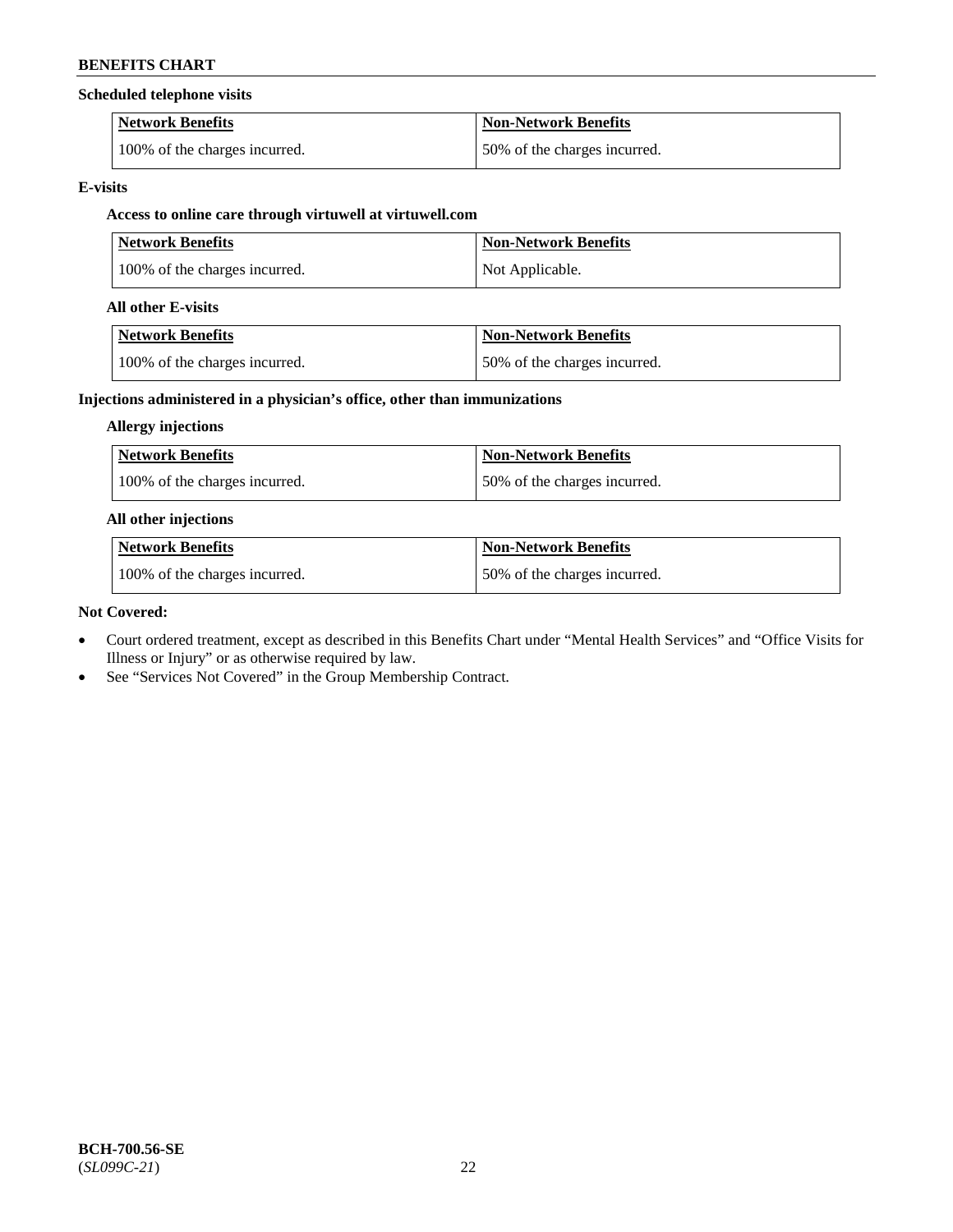## **Scheduled telephone visits**

| <b>Network Benefits</b>       | Non-Network Benefits         |
|-------------------------------|------------------------------|
| 100% of the charges incurred. | 50% of the charges incurred. |

## **E-visits**

## **Access to online care through virtuwell at [virtuwell.com](https://www.virtuwell.com/)**

| <b>Network Benefits</b>       | <b>Non-Network Benefits</b> |
|-------------------------------|-----------------------------|
| 100% of the charges incurred. | Not Applicable.             |

## **All other E-visits**

| Network Benefits              | <b>Non-Network Benefits</b>  |
|-------------------------------|------------------------------|
| 100% of the charges incurred. | 50% of the charges incurred. |

## **Injections administered in a physician's office, other than immunizations**

## **Allergy injections**

| Network Benefits              | Non-Network Benefits         |
|-------------------------------|------------------------------|
| 100% of the charges incurred. | 50% of the charges incurred. |

## **All other injections**

| Network Benefits              | Non-Network Benefits         |
|-------------------------------|------------------------------|
| 100% of the charges incurred. | 50% of the charges incurred. |

## **Not Covered:**

- Court ordered treatment, except as described in this Benefits Chart under "Mental Health Services" and "Office Visits for Illness or Injury" or as otherwise required by law.
- See "Services Not Covered" in the Group Membership Contract.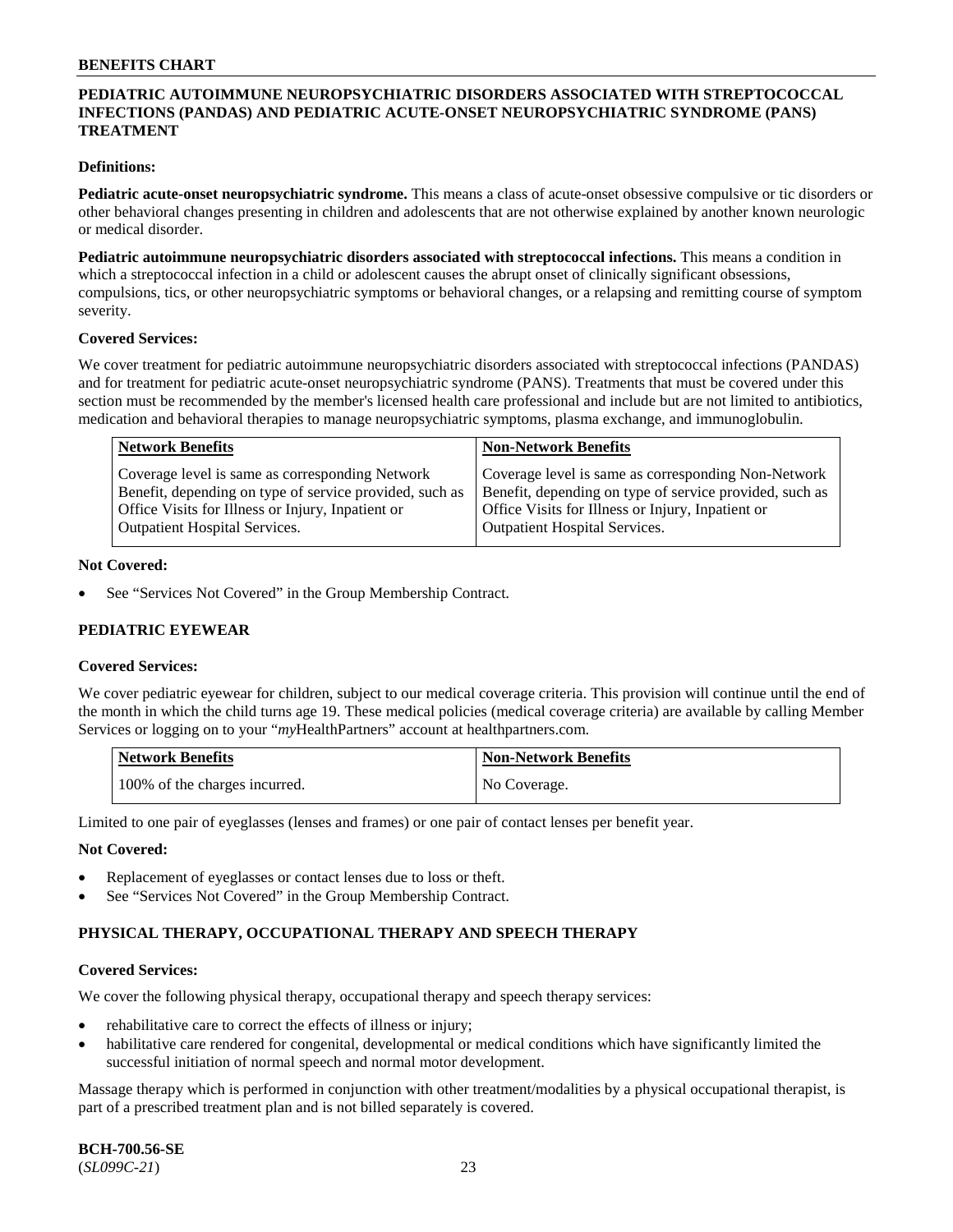## **PEDIATRIC AUTOIMMUNE NEUROPSYCHIATRIC DISORDERS ASSOCIATED WITH STREPTOCOCCAL INFECTIONS (PANDAS) AND PEDIATRIC ACUTE-ONSET NEUROPSYCHIATRIC SYNDROME (PANS) TREATMENT**

#### **Definitions:**

**Pediatric acute-onset neuropsychiatric syndrome.** This means a class of acute-onset obsessive compulsive or tic disorders or other behavioral changes presenting in children and adolescents that are not otherwise explained by another known neurologic or medical disorder.

**Pediatric autoimmune neuropsychiatric disorders associated with streptococcal infections.** This means a condition in which a streptococcal infection in a child or adolescent causes the abrupt onset of clinically significant obsessions, compulsions, tics, or other neuropsychiatric symptoms or behavioral changes, or a relapsing and remitting course of symptom severity.

#### **Covered Services:**

We cover treatment for pediatric autoimmune neuropsychiatric disorders associated with streptococcal infections (PANDAS) and for treatment for pediatric acute-onset neuropsychiatric syndrome (PANS). Treatments that must be covered under this section must be recommended by the member's licensed health care professional and include but are not limited to antibiotics, medication and behavioral therapies to manage neuropsychiatric symptoms, plasma exchange, and immunoglobulin.

| <b>Network Benefits</b>                                 | <b>Non-Network Benefits</b>                             |
|---------------------------------------------------------|---------------------------------------------------------|
| Coverage level is same as corresponding Network         | Coverage level is same as corresponding Non-Network     |
| Benefit, depending on type of service provided, such as | Benefit, depending on type of service provided, such as |
| Office Visits for Illness or Injury, Inpatient or       | Office Visits for Illness or Injury, Inpatient or       |
| <b>Outpatient Hospital Services.</b>                    | <b>Outpatient Hospital Services.</b>                    |

#### **Not Covered:**

See "Services Not Covered" in the Group Membership Contract.

## **PEDIATRIC EYEWEAR**

#### **Covered Services:**

We cover pediatric eyewear for children, subject to our medical coverage criteria. This provision will continue until the end of the month in which the child turns age 19. These medical policies (medical coverage criteria) are available by calling Member Services or logging on to your "*my*HealthPartners" account at [healthpartners.com.](https://www.healthpartners.com/hp/index.html)

| Network Benefits              | <b>Non-Network Benefits</b> |
|-------------------------------|-----------------------------|
| 100% of the charges incurred. | No Coverage.                |

Limited to one pair of eyeglasses (lenses and frames) or one pair of contact lenses per benefit year.

#### **Not Covered:**

- Replacement of eyeglasses or contact lenses due to loss or theft.
- See "Services Not Covered" in the Group Membership Contract.

## **PHYSICAL THERAPY, OCCUPATIONAL THERAPY AND SPEECH THERAPY**

#### **Covered Services:**

We cover the following physical therapy, occupational therapy and speech therapy services:

- rehabilitative care to correct the effects of illness or injury;
- habilitative care rendered for congenital, developmental or medical conditions which have significantly limited the successful initiation of normal speech and normal motor development.

Massage therapy which is performed in conjunction with other treatment/modalities by a physical occupational therapist, is part of a prescribed treatment plan and is not billed separately is covered.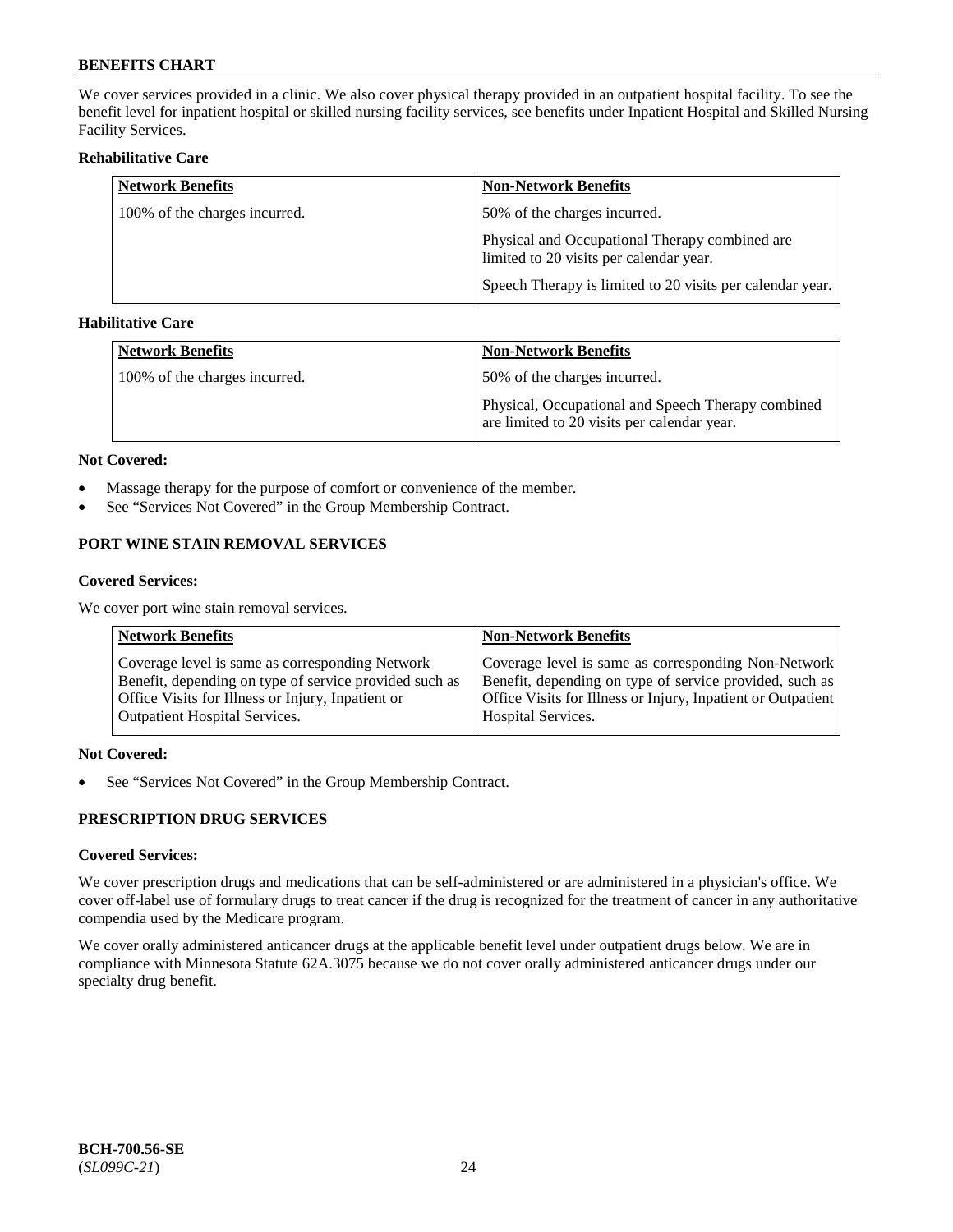We cover services provided in a clinic. We also cover physical therapy provided in an outpatient hospital facility. To see the benefit level for inpatient hospital or skilled nursing facility services, see benefits under Inpatient Hospital and Skilled Nursing Facility Services.

#### **Rehabilitative Care**

| <b>Network Benefits</b>       | <b>Non-Network Benefits</b>                                                               |
|-------------------------------|-------------------------------------------------------------------------------------------|
| 100% of the charges incurred. | 50% of the charges incurred.                                                              |
|                               | Physical and Occupational Therapy combined are<br>limited to 20 visits per calendar year. |
|                               | Speech Therapy is limited to 20 visits per calendar year.                                 |

## **Habilitative Care**

| <b>Network Benefits</b>       | <b>Non-Network Benefits</b>                                                                       |
|-------------------------------|---------------------------------------------------------------------------------------------------|
| 100% of the charges incurred. | 50% of the charges incurred.                                                                      |
|                               | Physical, Occupational and Speech Therapy combined<br>are limited to 20 visits per calendar year. |

#### **Not Covered:**

- Massage therapy for the purpose of comfort or convenience of the member.
- See "Services Not Covered" in the Group Membership Contract.

## **PORT WINE STAIN REMOVAL SERVICES**

#### **Covered Services:**

We cover port wine stain removal services.

| <b>Network Benefits</b>                                | <b>Non-Network Benefits</b>                                  |
|--------------------------------------------------------|--------------------------------------------------------------|
| Coverage level is same as corresponding Network        | Coverage level is same as corresponding Non-Network          |
| Benefit, depending on type of service provided such as | Benefit, depending on type of service provided, such as      |
| Office Visits for Illness or Injury, Inpatient or      | Office Visits for Illness or Injury, Inpatient or Outpatient |
| <b>Outpatient Hospital Services.</b>                   | <b>Hospital Services.</b>                                    |

## **Not Covered:**

• See "Services Not Covered" in the Group Membership Contract.

## **PRESCRIPTION DRUG SERVICES**

## **Covered Services:**

We cover prescription drugs and medications that can be self-administered or are administered in a physician's office. We cover off-label use of formulary drugs to treat cancer if the drug is recognized for the treatment of cancer in any authoritative compendia used by the Medicare program.

We cover orally administered anticancer drugs at the applicable benefit level under outpatient drugs below. We are in compliance with Minnesota Statute 62A.3075 because we do not cover orally administered anticancer drugs under our specialty drug benefit.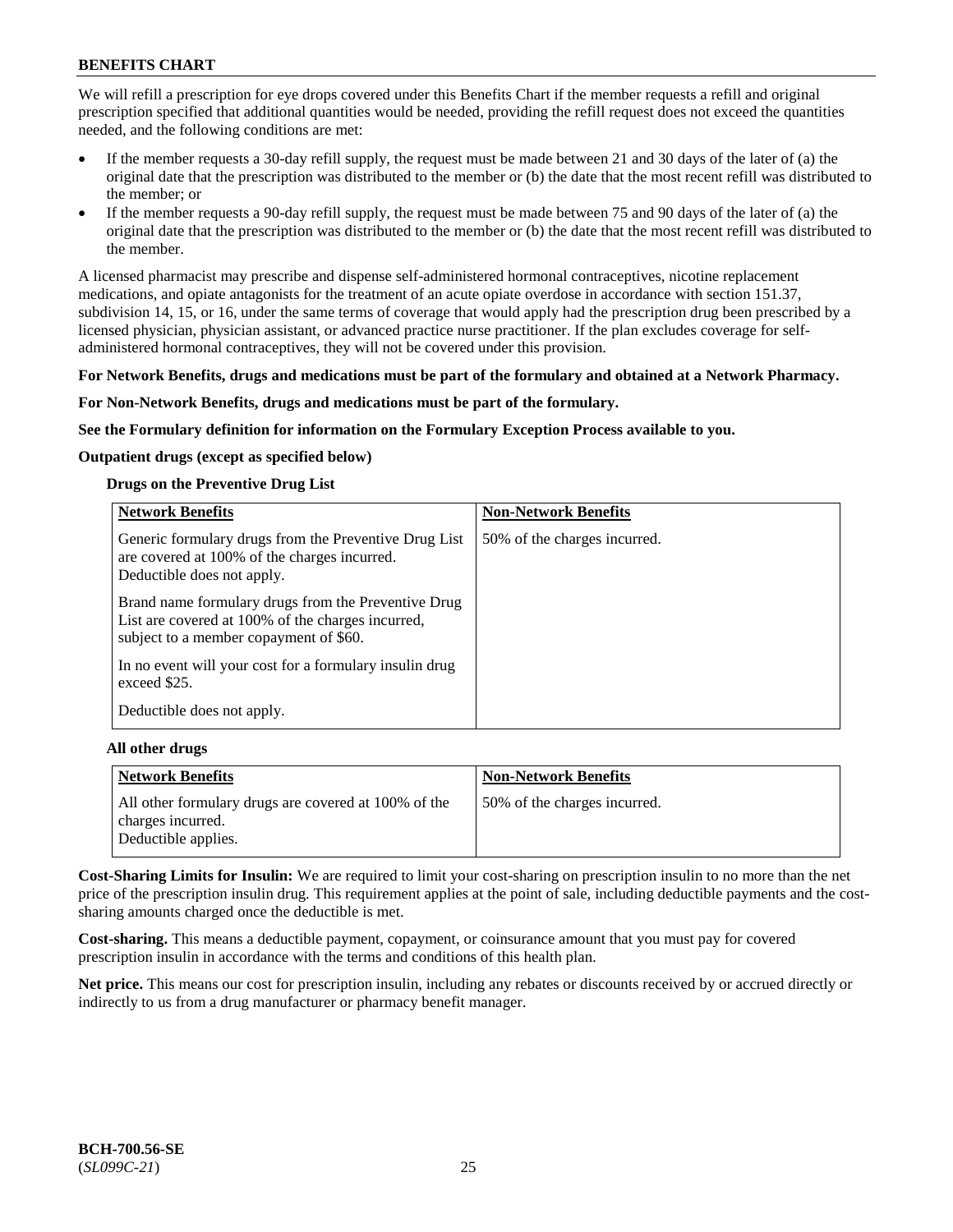We will refill a prescription for eye drops covered under this Benefits Chart if the member requests a refill and original prescription specified that additional quantities would be needed, providing the refill request does not exceed the quantities needed, and the following conditions are met:

- If the member requests a 30-day refill supply, the request must be made between 21 and 30 days of the later of (a) the original date that the prescription was distributed to the member or (b) the date that the most recent refill was distributed to the member; or
- If the member requests a 90-day refill supply, the request must be made between 75 and 90 days of the later of (a) the original date that the prescription was distributed to the member or (b) the date that the most recent refill was distributed to the member.

A licensed pharmacist may prescribe and dispense self-administered hormonal contraceptives, nicotine replacement medications, and opiate antagonists for the treatment of an acute opiate overdose in accordance with section 151.37, subdivision 14, 15, or 16, under the same terms of coverage that would apply had the prescription drug been prescribed by a licensed physician, physician assistant, or advanced practice nurse practitioner. If the plan excludes coverage for selfadministered hormonal contraceptives, they will not be covered under this provision.

#### **For Network Benefits, drugs and medications must be part of the formulary and obtained at a Network Pharmacy.**

#### **For Non-Network Benefits, drugs and medications must be part of the formulary.**

**See the Formulary definition for information on the Formulary Exception Process available to you.**

#### **Outpatient drugs (except as specified below)**

#### **Drugs on the Preventive Drug List**

| <b>Network Benefits</b>                                                                                                                            | <b>Non-Network Benefits</b>  |
|----------------------------------------------------------------------------------------------------------------------------------------------------|------------------------------|
| Generic formulary drugs from the Preventive Drug List<br>are covered at 100% of the charges incurred.<br>Deductible does not apply.                | 50% of the charges incurred. |
| Brand name formulary drugs from the Preventive Drug<br>List are covered at 100% of the charges incurred,<br>subject to a member copayment of \$60. |                              |
| In no event will your cost for a formulary insulin drug<br>exceed \$25.                                                                            |                              |
| Deductible does not apply.                                                                                                                         |                              |

#### **All other drugs**

| <b>Network Benefits</b>                                                                          | <b>Non-Network Benefits</b>  |
|--------------------------------------------------------------------------------------------------|------------------------------|
| All other formulary drugs are covered at 100% of the<br>charges incurred.<br>Deductible applies. | 50% of the charges incurred. |

**Cost-Sharing Limits for Insulin:** We are required to limit your cost-sharing on prescription insulin to no more than the net price of the prescription insulin drug. This requirement applies at the point of sale, including deductible payments and the costsharing amounts charged once the deductible is met.

**Cost-sharing.** This means a deductible payment, copayment, or coinsurance amount that you must pay for covered prescription insulin in accordance with the terms and conditions of this health plan.

**Net price.** This means our cost for prescription insulin, including any rebates or discounts received by or accrued directly or indirectly to us from a drug manufacturer or pharmacy benefit manager.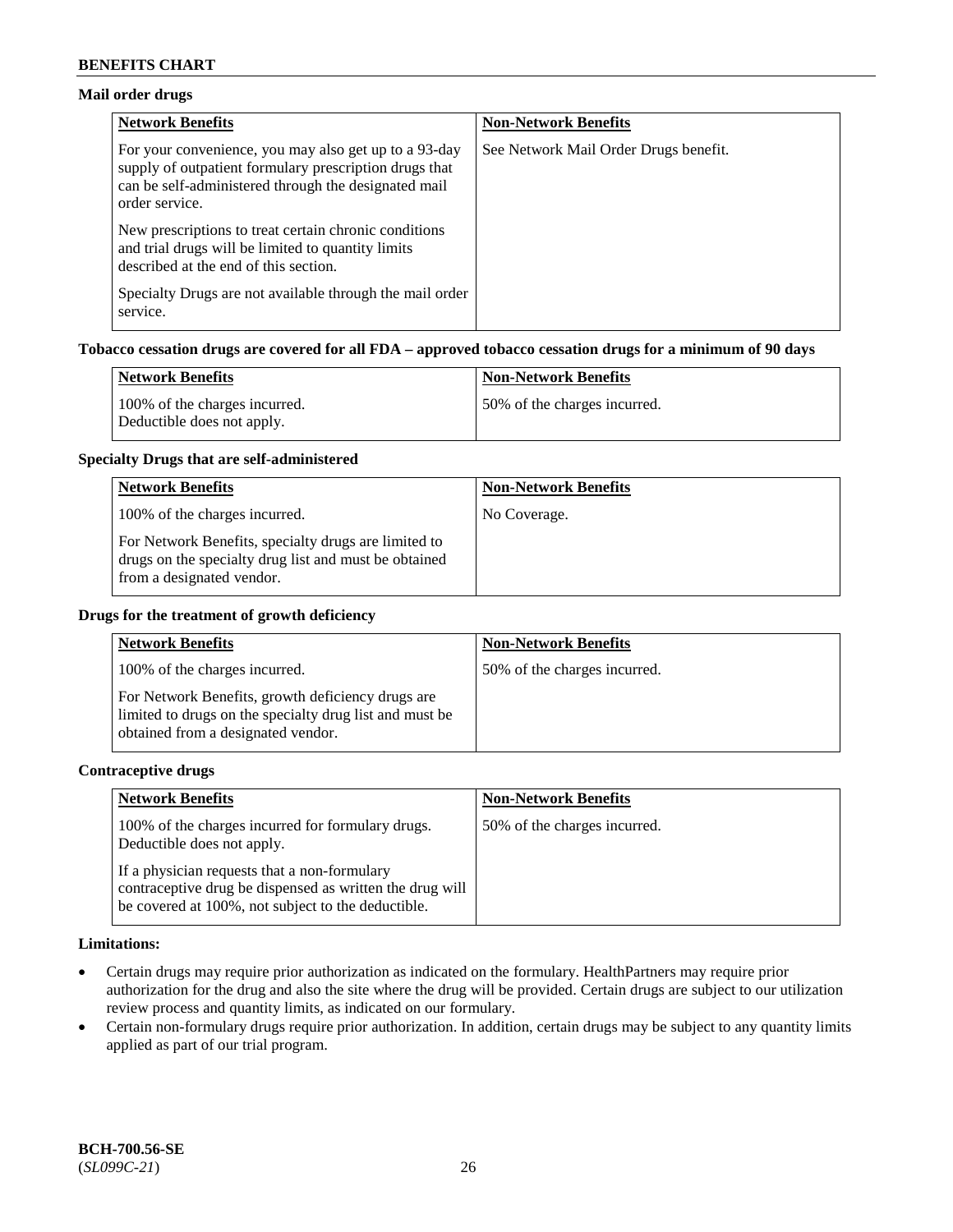## **Mail order drugs**

| <b>Network Benefits</b>                                                                                                                                                                   | <b>Non-Network Benefits</b>           |
|-------------------------------------------------------------------------------------------------------------------------------------------------------------------------------------------|---------------------------------------|
| For your convenience, you may also get up to a 93-day<br>supply of outpatient formulary prescription drugs that<br>can be self-administered through the designated mail<br>order service. | See Network Mail Order Drugs benefit. |
| New prescriptions to treat certain chronic conditions<br>and trial drugs will be limited to quantity limits<br>described at the end of this section.                                      |                                       |
| Specialty Drugs are not available through the mail order<br>service.                                                                                                                      |                                       |

## **Tobacco cessation drugs are covered for all FDA – approved tobacco cessation drugs for a minimum of 90 days**

| Network Benefits                                            | <b>Non-Network Benefits</b>  |
|-------------------------------------------------------------|------------------------------|
| 100% of the charges incurred.<br>Deductible does not apply. | 50% of the charges incurred. |

#### **Specialty Drugs that are self-administered**

| <b>Network Benefits</b>                                                                                                                    | <b>Non-Network Benefits</b> |
|--------------------------------------------------------------------------------------------------------------------------------------------|-----------------------------|
| 100% of the charges incurred.                                                                                                              | No Coverage.                |
| For Network Benefits, specialty drugs are limited to<br>drugs on the specialty drug list and must be obtained<br>from a designated vendor. |                             |

#### **Drugs for the treatment of growth deficiency**

| <b>Network Benefits</b>                                                                                                                            | <b>Non-Network Benefits</b>  |
|----------------------------------------------------------------------------------------------------------------------------------------------------|------------------------------|
| 100% of the charges incurred.                                                                                                                      | 50% of the charges incurred. |
| For Network Benefits, growth deficiency drugs are<br>limited to drugs on the specialty drug list and must be<br>obtained from a designated vendor. |                              |

#### **Contraceptive drugs**

| <b>Network Benefits</b>                                                                                                                                        | <b>Non-Network Benefits</b>  |
|----------------------------------------------------------------------------------------------------------------------------------------------------------------|------------------------------|
| 100% of the charges incurred for formulary drugs.<br>Deductible does not apply.                                                                                | 50% of the charges incurred. |
| If a physician requests that a non-formulary<br>contraceptive drug be dispensed as written the drug will<br>be covered at 100%, not subject to the deductible. |                              |

#### **Limitations:**

- Certain drugs may require prior authorization as indicated on the formulary. HealthPartners may require prior authorization for the drug and also the site where the drug will be provided. Certain drugs are subject to our utilization review process and quantity limits, as indicated on our formulary.
- Certain non-formulary drugs require prior authorization. In addition, certain drugs may be subject to any quantity limits applied as part of our trial program.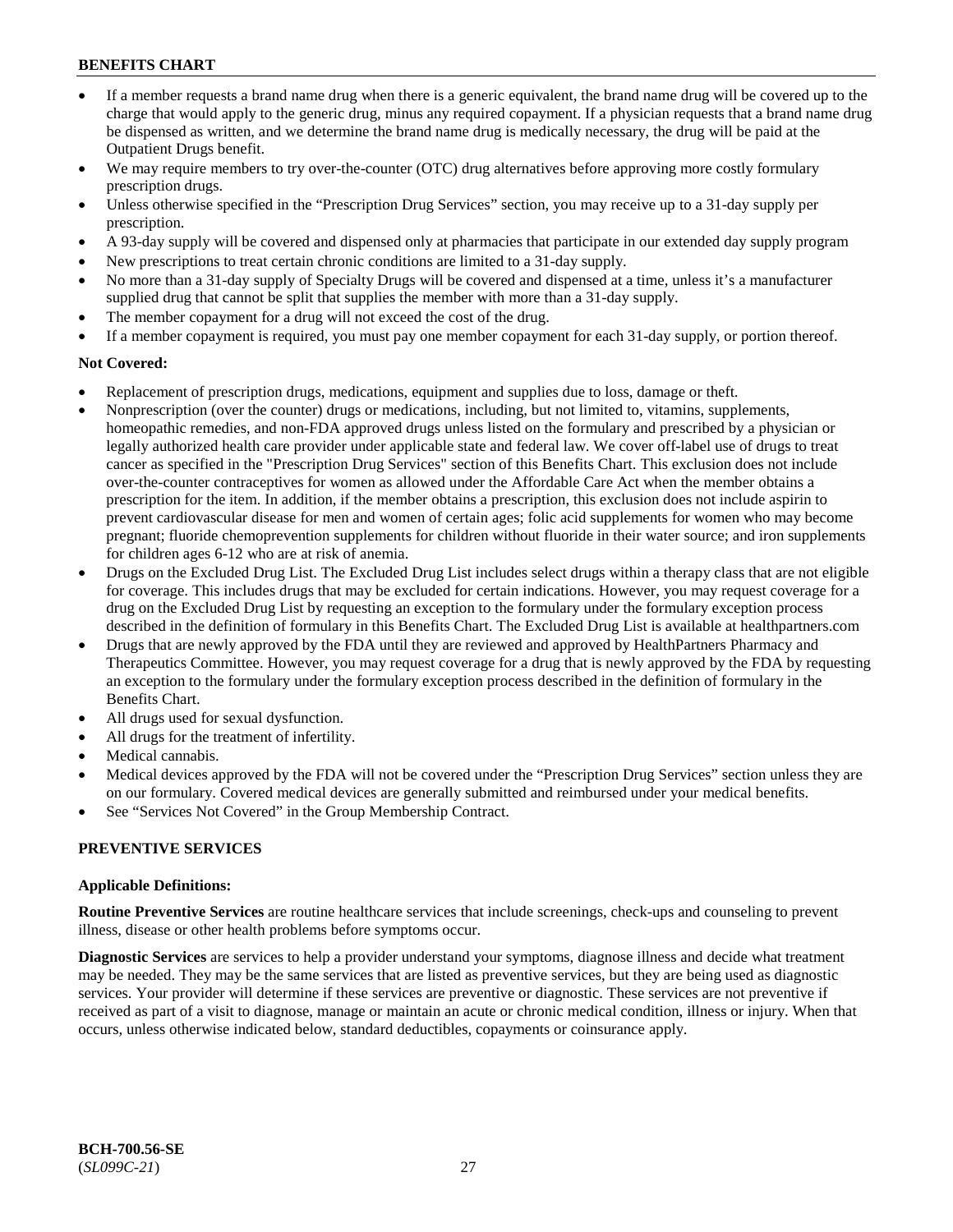- If a member requests a brand name drug when there is a generic equivalent, the brand name drug will be covered up to the charge that would apply to the generic drug, minus any required copayment. If a physician requests that a brand name drug be dispensed as written, and we determine the brand name drug is medically necessary, the drug will be paid at the Outpatient Drugs benefit.
- We may require members to try over-the-counter (OTC) drug alternatives before approving more costly formulary prescription drugs.
- Unless otherwise specified in the "Prescription Drug Services" section, you may receive up to a 31-day supply per prescription.
- A 93-day supply will be covered and dispensed only at pharmacies that participate in our extended day supply program
- New prescriptions to treat certain chronic conditions are limited to a 31-day supply.
- No more than a 31-day supply of Specialty Drugs will be covered and dispensed at a time, unless it's a manufacturer supplied drug that cannot be split that supplies the member with more than a 31-day supply.
- The member copayment for a drug will not exceed the cost of the drug.
- If a member copayment is required, you must pay one member copayment for each 31-day supply, or portion thereof.

#### **Not Covered:**

- Replacement of prescription drugs, medications, equipment and supplies due to loss, damage or theft.
- Nonprescription (over the counter) drugs or medications, including, but not limited to, vitamins, supplements, homeopathic remedies, and non-FDA approved drugs unless listed on the formulary and prescribed by a physician or legally authorized health care provider under applicable state and federal law. We cover off-label use of drugs to treat cancer as specified in the "Prescription Drug Services" section of this Benefits Chart. This exclusion does not include over-the-counter contraceptives for women as allowed under the Affordable Care Act when the member obtains a prescription for the item. In addition, if the member obtains a prescription, this exclusion does not include aspirin to prevent cardiovascular disease for men and women of certain ages; folic acid supplements for women who may become pregnant; fluoride chemoprevention supplements for children without fluoride in their water source; and iron supplements for children ages 6-12 who are at risk of anemia.
- Drugs on the Excluded Drug List. The Excluded Drug List includes select drugs within a therapy class that are not eligible for coverage. This includes drugs that may be excluded for certain indications. However, you may request coverage for a drug on the Excluded Drug List by requesting an exception to the formulary under the formulary exception process described in the definition of formulary in this Benefits Chart. The Excluded Drug List is available at [healthpartners.com](http://www.healthpartners.com/)
- Drugs that are newly approved by the FDA until they are reviewed and approved by HealthPartners Pharmacy and Therapeutics Committee. However, you may request coverage for a drug that is newly approved by the FDA by requesting an exception to the formulary under the formulary exception process described in the definition of formulary in the Benefits Chart.
- All drugs used for sexual dysfunction.
- All drugs for the treatment of infertility.
- Medical cannabis.
- Medical devices approved by the FDA will not be covered under the "Prescription Drug Services" section unless they are on our formulary. Covered medical devices are generally submitted and reimbursed under your medical benefits.
- See "Services Not Covered" in the Group Membership Contract.

#### **PREVENTIVE SERVICES**

#### **Applicable Definitions:**

**Routine Preventive Services** are routine healthcare services that include screenings, check-ups and counseling to prevent illness, disease or other health problems before symptoms occur.

**Diagnostic Services** are services to help a provider understand your symptoms, diagnose illness and decide what treatment may be needed. They may be the same services that are listed as preventive services, but they are being used as diagnostic services. Your provider will determine if these services are preventive or diagnostic. These services are not preventive if received as part of a visit to diagnose, manage or maintain an acute or chronic medical condition, illness or injury. When that occurs, unless otherwise indicated below, standard deductibles, copayments or coinsurance apply.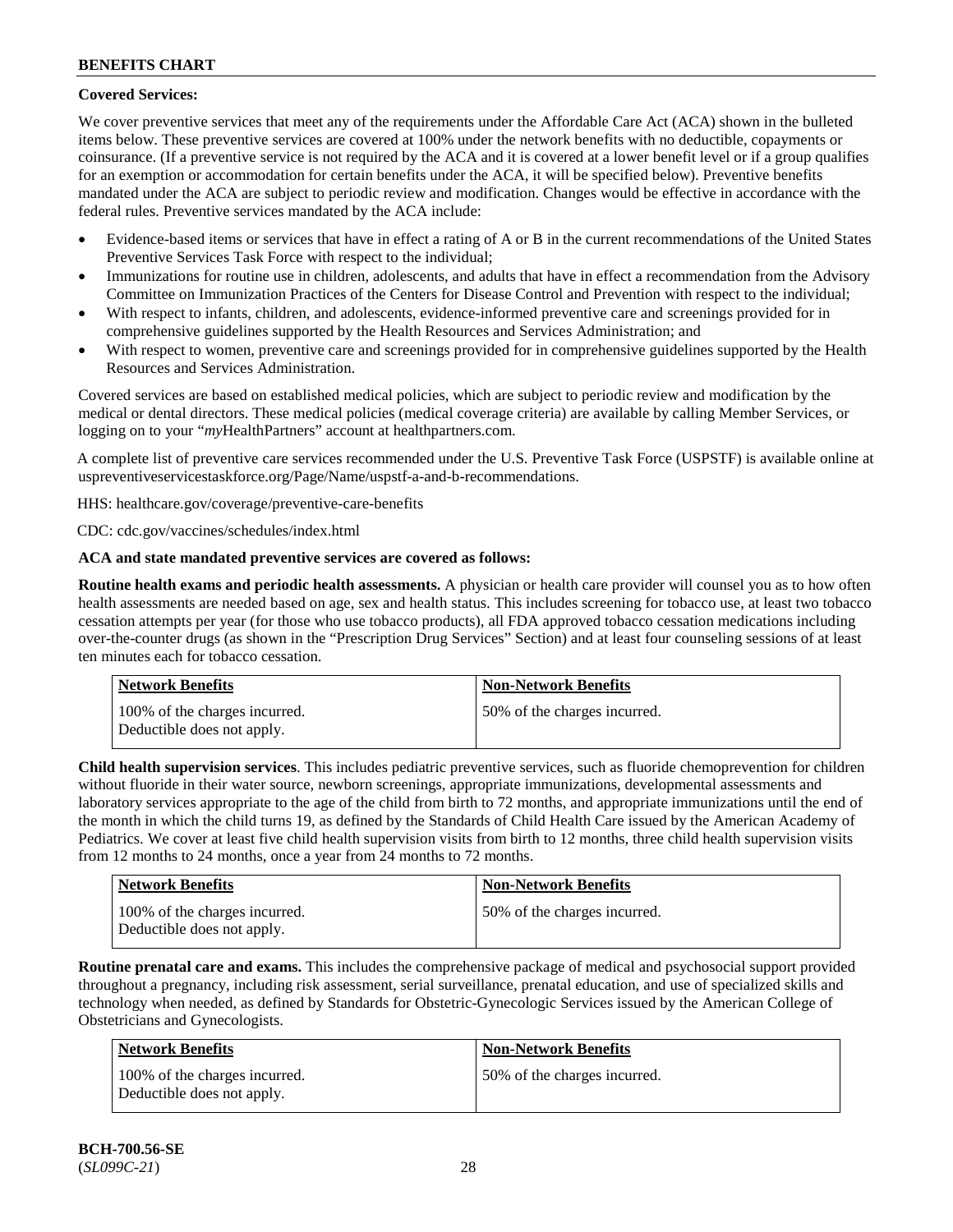## **Covered Services:**

We cover preventive services that meet any of the requirements under the Affordable Care Act (ACA) shown in the bulleted items below. These preventive services are covered at 100% under the network benefits with no deductible, copayments or coinsurance. (If a preventive service is not required by the ACA and it is covered at a lower benefit level or if a group qualifies for an exemption or accommodation for certain benefits under the ACA, it will be specified below). Preventive benefits mandated under the ACA are subject to periodic review and modification. Changes would be effective in accordance with the federal rules. Preventive services mandated by the ACA include:

- Evidence-based items or services that have in effect a rating of A or B in the current recommendations of the United States Preventive Services Task Force with respect to the individual;
- Immunizations for routine use in children, adolescents, and adults that have in effect a recommendation from the Advisory Committee on Immunization Practices of the Centers for Disease Control and Prevention with respect to the individual;
- With respect to infants, children, and adolescents, evidence-informed preventive care and screenings provided for in comprehensive guidelines supported by the Health Resources and Services Administration; and
- With respect to women, preventive care and screenings provided for in comprehensive guidelines supported by the Health Resources and Services Administration.

Covered services are based on established medical policies, which are subject to periodic review and modification by the medical or dental directors. These medical policies (medical coverage criteria) are available by calling Member Services, or logging on to your "*my*HealthPartners" account at [healthpartners.com.](http://www.healthpartners.com/)

A complete list of preventive care services recommended under the U.S. Preventive Task Force (USPSTF) is available online at [uspreventiveservicestaskforce.org/Page/Name/uspstf-a-and-b-recommendations.](https://www.uspreventiveservicestaskforce.org/Page/Name/uspstf-a-and-b-recommendations-by-date/)

HHS: [healthcare.gov/coverage/preventive-care-benefits](https://www.healthcare.gov/coverage/preventive-care-benefits/)

CDC: [cdc.gov/vaccines/schedules/index.html](https://www.cdc.gov/vaccines/schedules/index.html)

## **ACA and state mandated preventive services are covered as follows:**

**Routine health exams and periodic health assessments.** A physician or health care provider will counsel you as to how often health assessments are needed based on age, sex and health status. This includes screening for tobacco use, at least two tobacco cessation attempts per year (for those who use tobacco products), all FDA approved tobacco cessation medications including over-the-counter drugs (as shown in the "Prescription Drug Services" Section) and at least four counseling sessions of at least ten minutes each for tobacco cessation.

| Network Benefits                                            | <b>Non-Network Benefits</b>  |
|-------------------------------------------------------------|------------------------------|
| 100% of the charges incurred.<br>Deductible does not apply. | 50% of the charges incurred. |

**Child health supervision services**. This includes pediatric preventive services, such as fluoride chemoprevention for children without fluoride in their water source, newborn screenings, appropriate immunizations, developmental assessments and laboratory services appropriate to the age of the child from birth to 72 months, and appropriate immunizations until the end of the month in which the child turns 19, as defined by the Standards of Child Health Care issued by the American Academy of Pediatrics. We cover at least five child health supervision visits from birth to 12 months, three child health supervision visits from 12 months to 24 months, once a year from 24 months to 72 months.

| <b>Network Benefits</b>                                     | <b>Non-Network Benefits</b>  |
|-------------------------------------------------------------|------------------------------|
| 100% of the charges incurred.<br>Deductible does not apply. | 50% of the charges incurred. |

**Routine prenatal care and exams.** This includes the comprehensive package of medical and psychosocial support provided throughout a pregnancy, including risk assessment, serial surveillance, prenatal education, and use of specialized skills and technology when needed, as defined by Standards for Obstetric-Gynecologic Services issued by the American College of Obstetricians and Gynecologists.

| Network Benefits                                            | <b>Non-Network Benefits</b>  |
|-------------------------------------------------------------|------------------------------|
| 100% of the charges incurred.<br>Deductible does not apply. | 50% of the charges incurred. |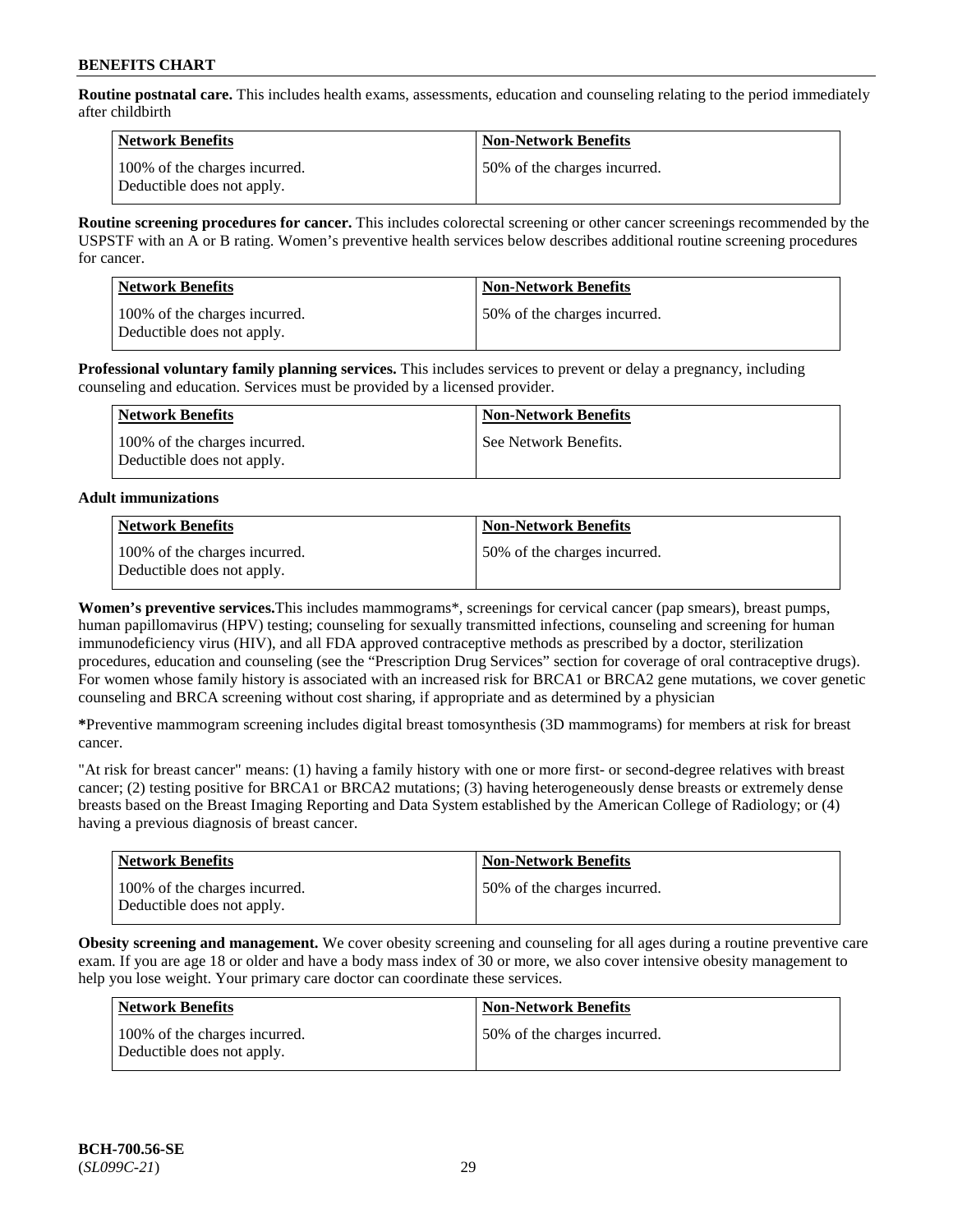**Routine postnatal care.** This includes health exams, assessments, education and counseling relating to the period immediately after childbirth

| Network Benefits                                            | <b>Non-Network Benefits</b>  |
|-------------------------------------------------------------|------------------------------|
| 100% of the charges incurred.<br>Deductible does not apply. | 50% of the charges incurred. |

**Routine screening procedures for cancer.** This includes colorectal screening or other cancer screenings recommended by the USPSTF with an A or B rating. Women's preventive health services below describes additional routine screening procedures for cancer.

| <b>Network Benefits</b>                                     | <b>Non-Network Benefits</b>  |
|-------------------------------------------------------------|------------------------------|
| 100% of the charges incurred.<br>Deductible does not apply. | 50% of the charges incurred. |

**Professional voluntary family planning services.** This includes services to prevent or delay a pregnancy, including counseling and education. Services must be provided by a licensed provider.

| Network Benefits                                            | <b>Non-Network Benefits</b> |
|-------------------------------------------------------------|-----------------------------|
| 100% of the charges incurred.<br>Deductible does not apply. | See Network Benefits.       |

## **Adult immunizations**

| <b>Network Benefits</b>                                     | <b>Non-Network Benefits</b>  |
|-------------------------------------------------------------|------------------------------|
| 100% of the charges incurred.<br>Deductible does not apply. | 50% of the charges incurred. |

**Women's preventive services.**This includes mammograms\*, screenings for cervical cancer (pap smears), breast pumps, human papillomavirus (HPV) testing; counseling for sexually transmitted infections, counseling and screening for human immunodeficiency virus (HIV), and all FDA approved contraceptive methods as prescribed by a doctor, sterilization procedures, education and counseling (see the "Prescription Drug Services" section for coverage of oral contraceptive drugs). For women whose family history is associated with an increased risk for BRCA1 or BRCA2 gene mutations, we cover genetic counseling and BRCA screening without cost sharing, if appropriate and as determined by a physician

**\***Preventive mammogram screening includes digital breast tomosynthesis (3D mammograms) for members at risk for breast cancer.

"At risk for breast cancer" means: (1) having a family history with one or more first- or second-degree relatives with breast cancer; (2) testing positive for BRCA1 or BRCA2 mutations; (3) having heterogeneously dense breasts or extremely dense breasts based on the Breast Imaging Reporting and Data System established by the American College of Radiology; or (4) having a previous diagnosis of breast cancer.

| <b>Network Benefits</b>                                     | <b>Non-Network Benefits</b>  |
|-------------------------------------------------------------|------------------------------|
| 100% of the charges incurred.<br>Deductible does not apply. | 50% of the charges incurred. |

**Obesity screening and management.** We cover obesity screening and counseling for all ages during a routine preventive care exam. If you are age 18 or older and have a body mass index of 30 or more, we also cover intensive obesity management to help you lose weight. Your primary care doctor can coordinate these services.

| Network Benefits                                            | <b>Non-Network Benefits</b>  |
|-------------------------------------------------------------|------------------------------|
| 100% of the charges incurred.<br>Deductible does not apply. | 50% of the charges incurred. |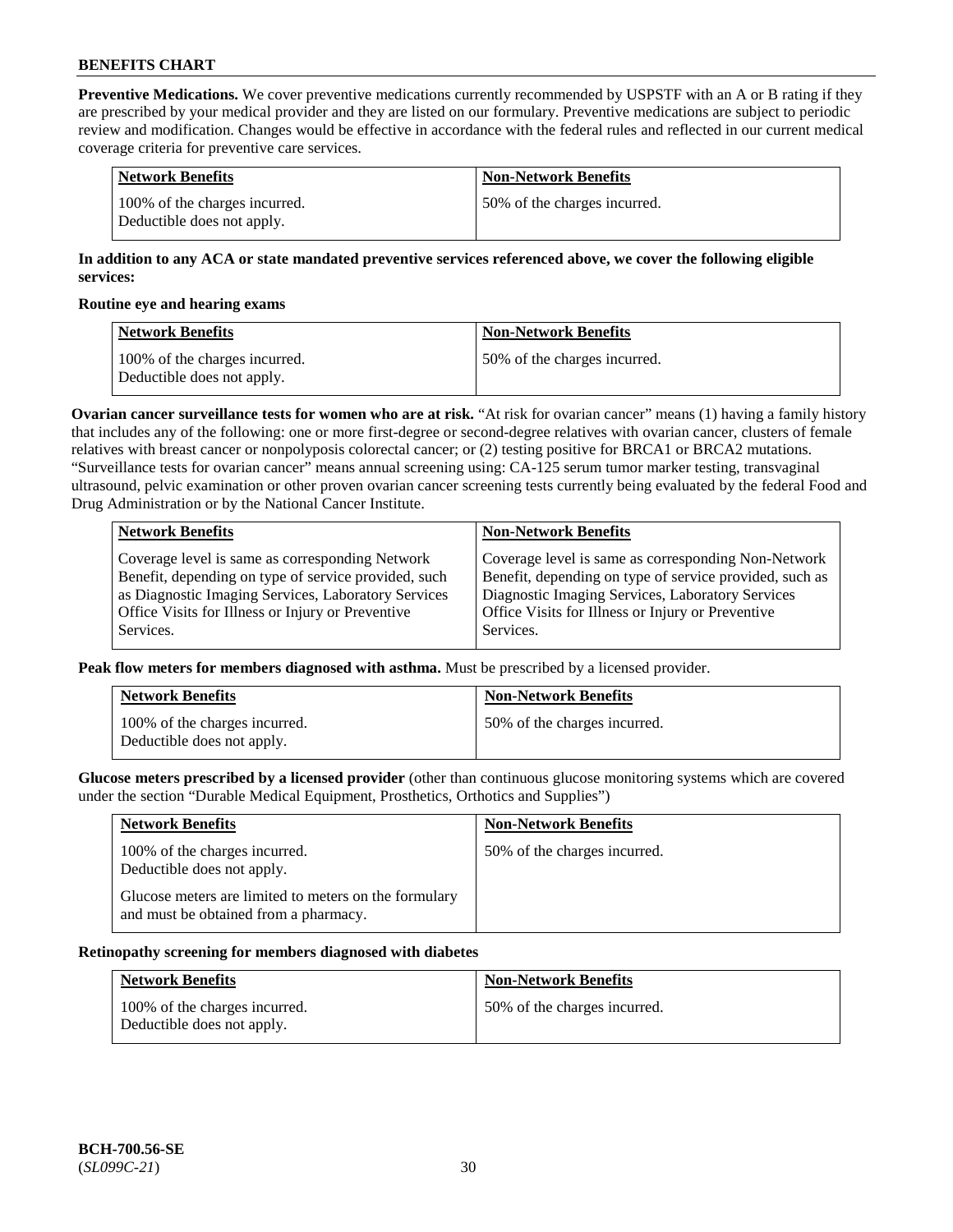**Preventive Medications.** We cover preventive medications currently recommended by USPSTF with an A or B rating if they are prescribed by your medical provider and they are listed on our formulary. Preventive medications are subject to periodic review and modification. Changes would be effective in accordance with the federal rules and reflected in our current medical coverage criteria for preventive care services.

| Network Benefits                                            | Non-Network Benefits         |
|-------------------------------------------------------------|------------------------------|
| 100% of the charges incurred.<br>Deductible does not apply. | 50% of the charges incurred. |

## **In addition to any ACA or state mandated preventive services referenced above, we cover the following eligible services:**

#### **Routine eye and hearing exams**

| <b>Network Benefits</b>                                     | <b>Non-Network Benefits</b>  |
|-------------------------------------------------------------|------------------------------|
| 100% of the charges incurred.<br>Deductible does not apply. | 50% of the charges incurred. |

**Ovarian cancer surveillance tests for women who are at risk.** "At risk for ovarian cancer" means (1) having a family history that includes any of the following: one or more first-degree or second-degree relatives with ovarian cancer, clusters of female relatives with breast cancer or nonpolyposis colorectal cancer; or (2) testing positive for BRCA1 or BRCA2 mutations. "Surveillance tests for ovarian cancer" means annual screening using: CA-125 serum tumor marker testing, transvaginal ultrasound, pelvic examination or other proven ovarian cancer screening tests currently being evaluated by the federal Food and Drug Administration or by the National Cancer Institute.

| <b>Network Benefits</b>                              | <b>Non-Network Benefits</b>                             |
|------------------------------------------------------|---------------------------------------------------------|
| Coverage level is same as corresponding Network      | Coverage level is same as corresponding Non-Network     |
| Benefit, depending on type of service provided, such | Benefit, depending on type of service provided, such as |
| as Diagnostic Imaging Services, Laboratory Services  | Diagnostic Imaging Services, Laboratory Services        |
| Office Visits for Illness or Injury or Preventive    | Office Visits for Illness or Injury or Preventive       |
| Services.                                            | Services.                                               |

**Peak flow meters for members diagnosed with asthma.** Must be prescribed by a licensed provider.

| <b>Network Benefits</b>                                     | <b>Non-Network Benefits</b>  |
|-------------------------------------------------------------|------------------------------|
| 100% of the charges incurred.<br>Deductible does not apply. | 50% of the charges incurred. |

**Glucose meters prescribed by a licensed provider** (other than continuous glucose monitoring systems which are covered under the section "Durable Medical Equipment, Prosthetics, Orthotics and Supplies")

| <b>Network Benefits</b>                                                                        | <b>Non-Network Benefits</b>  |
|------------------------------------------------------------------------------------------------|------------------------------|
| 100% of the charges incurred.<br>Deductible does not apply.                                    | 50% of the charges incurred. |
| Glucose meters are limited to meters on the formulary<br>and must be obtained from a pharmacy. |                              |

#### **Retinopathy screening for members diagnosed with diabetes**

| <b>Network Benefits</b>                                     | <b>Non-Network Benefits</b>  |
|-------------------------------------------------------------|------------------------------|
| 100% of the charges incurred.<br>Deductible does not apply. | 50% of the charges incurred. |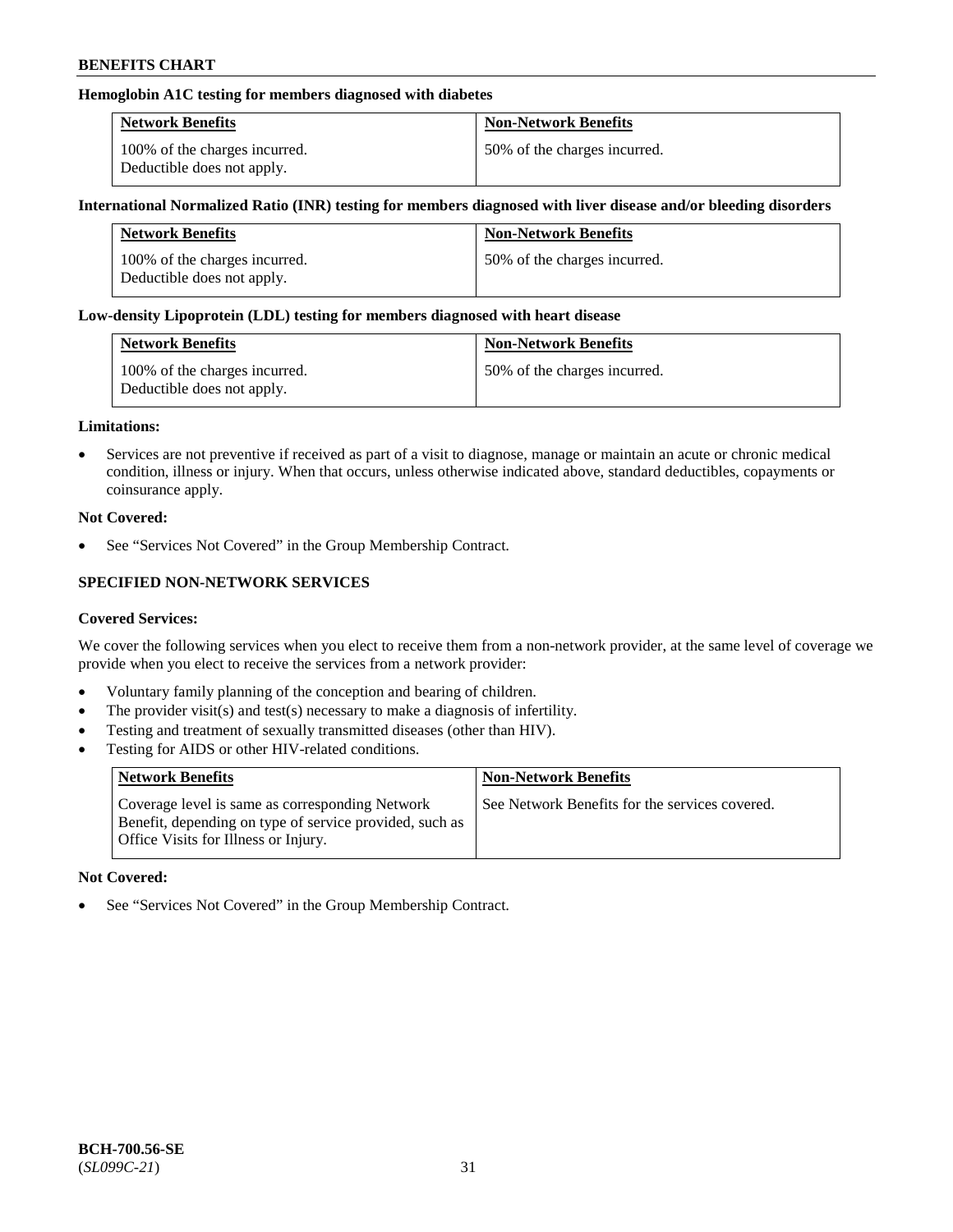## **Hemoglobin A1C testing for members diagnosed with diabetes**

| <b>Network Benefits</b>                                     | <b>Non-Network Benefits</b>  |
|-------------------------------------------------------------|------------------------------|
| 100% of the charges incurred.<br>Deductible does not apply. | 50% of the charges incurred. |

#### **International Normalized Ratio (INR) testing for members diagnosed with liver disease and/or bleeding disorders**

| <b>Network Benefits</b>                                     | <b>Non-Network Benefits</b>  |
|-------------------------------------------------------------|------------------------------|
| 100% of the charges incurred.<br>Deductible does not apply. | 50% of the charges incurred. |

#### **Low-density Lipoprotein (LDL) testing for members diagnosed with heart disease**

| <b>Network Benefits</b>                                     | <b>Non-Network Benefits</b>  |
|-------------------------------------------------------------|------------------------------|
| 100% of the charges incurred.<br>Deductible does not apply. | 50% of the charges incurred. |

#### **Limitations:**

• Services are not preventive if received as part of a visit to diagnose, manage or maintain an acute or chronic medical condition, illness or injury. When that occurs, unless otherwise indicated above, standard deductibles, copayments or coinsurance apply.

#### **Not Covered:**

See "Services Not Covered" in the Group Membership Contract.

## **SPECIFIED NON-NETWORK SERVICES**

#### **Covered Services:**

We cover the following services when you elect to receive them from a non-network provider, at the same level of coverage we provide when you elect to receive the services from a network provider:

- Voluntary family planning of the conception and bearing of children.
- The provider visit(s) and test(s) necessary to make a diagnosis of infertility.
- Testing and treatment of sexually transmitted diseases (other than HIV).
- Testing for AIDS or other HIV-related conditions.

| <b>Network Benefits</b>                                                                                                                            | <b>Non-Network Benefits</b>                    |
|----------------------------------------------------------------------------------------------------------------------------------------------------|------------------------------------------------|
| Coverage level is same as corresponding Network<br>Benefit, depending on type of service provided, such as<br>Office Visits for Illness or Injury. | See Network Benefits for the services covered. |

#### **Not Covered:**

• See "Services Not Covered" in the Group Membership Contract.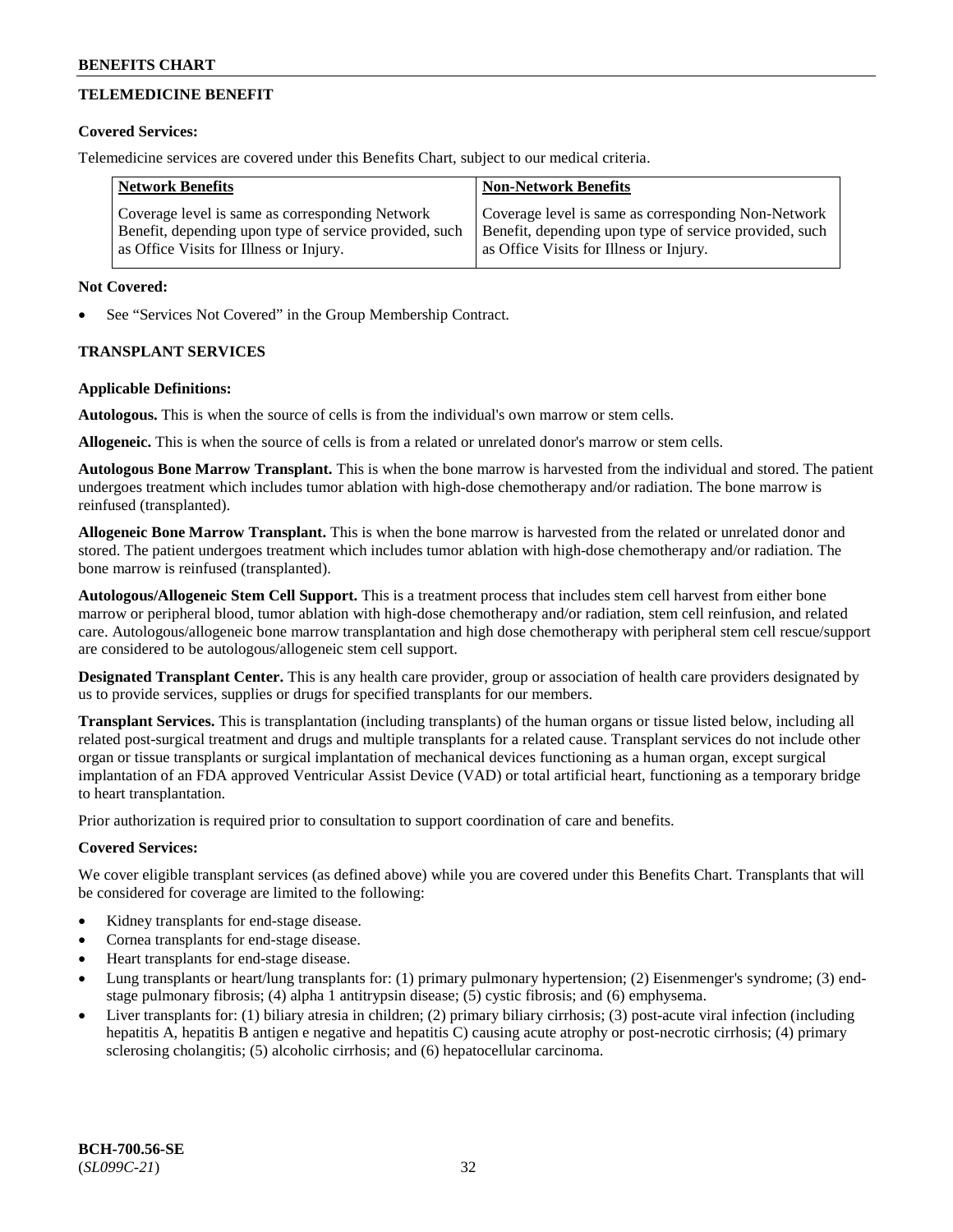## **TELEMEDICINE BENEFIT**

#### **Covered Services:**

Telemedicine services are covered under this Benefits Chart, subject to our medical criteria.

| <b>Network Benefits</b>                                | <b>Non-Network Benefits</b>                            |
|--------------------------------------------------------|--------------------------------------------------------|
| Coverage level is same as corresponding Network        | Coverage level is same as corresponding Non-Network    |
| Benefit, depending upon type of service provided, such | Benefit, depending upon type of service provided, such |
| as Office Visits for Illness or Injury.                | as Office Visits for Illness or Injury.                |

#### **Not Covered:**

See "Services Not Covered" in the Group Membership Contract.

## **TRANSPLANT SERVICES**

#### **Applicable Definitions:**

**Autologous.** This is when the source of cells is from the individual's own marrow or stem cells.

**Allogeneic.** This is when the source of cells is from a related or unrelated donor's marrow or stem cells.

**Autologous Bone Marrow Transplant.** This is when the bone marrow is harvested from the individual and stored. The patient undergoes treatment which includes tumor ablation with high-dose chemotherapy and/or radiation. The bone marrow is reinfused (transplanted).

**Allogeneic Bone Marrow Transplant.** This is when the bone marrow is harvested from the related or unrelated donor and stored. The patient undergoes treatment which includes tumor ablation with high-dose chemotherapy and/or radiation. The bone marrow is reinfused (transplanted).

**Autologous/Allogeneic Stem Cell Support.** This is a treatment process that includes stem cell harvest from either bone marrow or peripheral blood, tumor ablation with high-dose chemotherapy and/or radiation, stem cell reinfusion, and related care. Autologous/allogeneic bone marrow transplantation and high dose chemotherapy with peripheral stem cell rescue/support are considered to be autologous/allogeneic stem cell support.

**Designated Transplant Center.** This is any health care provider, group or association of health care providers designated by us to provide services, supplies or drugs for specified transplants for our members.

**Transplant Services.** This is transplantation (including transplants) of the human organs or tissue listed below, including all related post-surgical treatment and drugs and multiple transplants for a related cause. Transplant services do not include other organ or tissue transplants or surgical implantation of mechanical devices functioning as a human organ, except surgical implantation of an FDA approved Ventricular Assist Device (VAD) or total artificial heart, functioning as a temporary bridge to heart transplantation.

Prior authorization is required prior to consultation to support coordination of care and benefits.

## **Covered Services:**

We cover eligible transplant services (as defined above) while you are covered under this Benefits Chart. Transplants that will be considered for coverage are limited to the following:

- Kidney transplants for end-stage disease.
- Cornea transplants for end-stage disease.
- Heart transplants for end-stage disease.
- Lung transplants or heart/lung transplants for: (1) primary pulmonary hypertension; (2) Eisenmenger's syndrome; (3) endstage pulmonary fibrosis; (4) alpha 1 antitrypsin disease; (5) cystic fibrosis; and (6) emphysema.
- Liver transplants for: (1) biliary atresia in children; (2) primary biliary cirrhosis; (3) post-acute viral infection (including hepatitis A, hepatitis B antigen e negative and hepatitis C) causing acute atrophy or post-necrotic cirrhosis; (4) primary sclerosing cholangitis; (5) alcoholic cirrhosis; and (6) hepatocellular carcinoma.